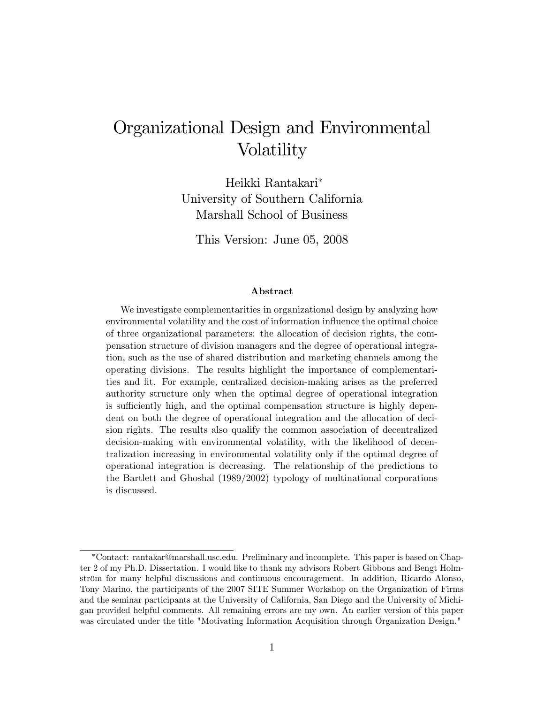# Organizational Design and Environmental Volatility

Heikki Rantakari University of Southern California Marshall School of Business

This Version: June 05, 2008

#### Abstract

We investigate complementarities in organizational design by analyzing how environmental volatility and the cost of information influence the optimal choice of three organizational parameters: the allocation of decision rights, the compensation structure of division managers and the degree of operational integration, such as the use of shared distribution and marketing channels among the operating divisions. The results highlight the importance of complementarities and Öt. For example, centralized decision-making arises as the preferred authority structure only when the optimal degree of operational integration is sufficiently high, and the optimal compensation structure is highly dependent on both the degree of operational integration and the allocation of decision rights. The results also qualify the common association of decentralized decision-making with environmental volatility, with the likelihood of decentralization increasing in environmental volatility only if the optimal degree of operational integration is decreasing. The relationship of the predictions to the Bartlett and Ghoshal (1989/2002) typology of multinational corporations is discussed.

Contact: rantakar@marshall.usc.edu. Preliminary and incomplete. This paper is based on Chapter 2 of my Ph.D. Dissertation. I would like to thank my advisors Robert Gibbons and Bengt Holmström for many helpful discussions and continuous encouragement. In addition, Ricardo Alonso, Tony Marino, the participants of the 2007 SITE Summer Workshop on the Organization of Firms and the seminar participants at the University of California, San Diego and the University of Michigan provided helpful comments. All remaining errors are my own. An earlier version of this paper was circulated under the title "Motivating Information Acquisition through Organization Design."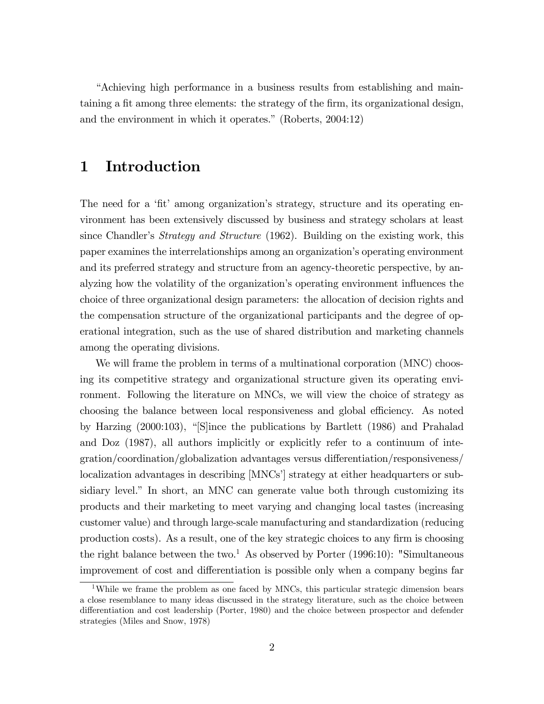ìAchieving high performance in a business results from establishing and maintaining a fit among three elements: the strategy of the firm, its organizational design, and the environment in which it operates." (Roberts,  $2004:12$ )

### 1 Introduction

The need for a 'fit' among organization's strategy, structure and its operating environment has been extensively discussed by business and strategy scholars at least since Chandler's *Strategy and Structure* (1962). Building on the existing work, this paper examines the interrelationships among an organizationís operating environment and its preferred strategy and structure from an agency-theoretic perspective, by analyzing how the volatility of the organization's operating environment influences the choice of three organizational design parameters: the allocation of decision rights and the compensation structure of the organizational participants and the degree of operational integration, such as the use of shared distribution and marketing channels among the operating divisions.

We will frame the problem in terms of a multinational corporation (MNC) choosing its competitive strategy and organizational structure given its operating environment. Following the literature on MNCs, we will view the choice of strategy as choosing the balance between local responsiveness and global efficiency. As noted by Harzing  $(2000:103)$ , "Since the publications by Bartlett  $(1986)$  and Prahalad and Doz (1987), all authors implicitly or explicitly refer to a continuum of integration/coordination/globalization advantages versus differentiation/responsiveness/ localization advantages in describing [MNCs'] strategy at either headquarters or subsidiary level." In short, an MNC can generate value both through customizing its products and their marketing to meet varying and changing local tastes (increasing customer value) and through large-scale manufacturing and standardization (reducing production costs). As a result, one of the key strategic choices to any firm is choosing the right balance between the two.<sup>1</sup> As observed by Porter  $(1996:10)$ : "Simultaneous improvement of cost and differentiation is possible only when a company begins far

<sup>&</sup>lt;sup>1</sup>While we frame the problem as one faced by MNCs, this particular strategic dimension bears a close resemblance to many ideas discussed in the strategy literature, such as the choice between differentiation and cost leadership (Porter, 1980) and the choice between prospector and defender strategies (Miles and Snow, 1978)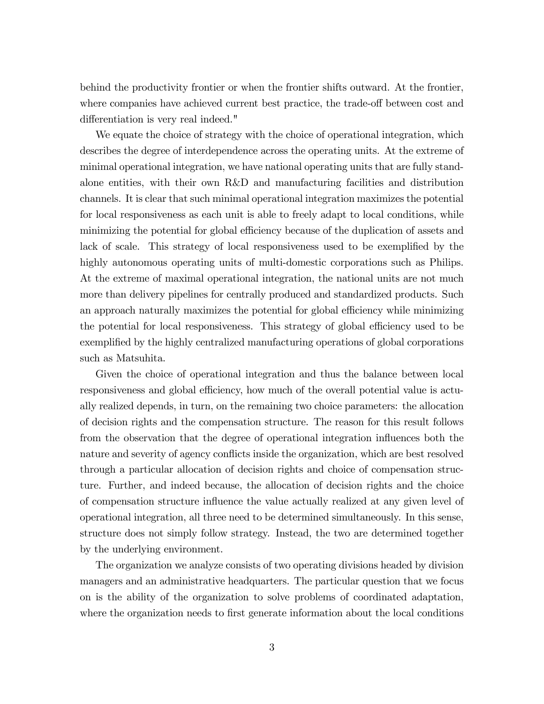behind the productivity frontier or when the frontier shifts outward. At the frontier, where companies have achieved current best practice, the trade-off between cost and differentiation is very real indeed."

We equate the choice of strategy with the choice of operational integration, which describes the degree of interdependence across the operating units. At the extreme of minimal operational integration, we have national operating units that are fully standalone entities, with their own R&D and manufacturing facilities and distribution channels. It is clear that such minimal operational integration maximizes the potential for local responsiveness as each unit is able to freely adapt to local conditions, while minimizing the potential for global efficiency because of the duplication of assets and lack of scale. This strategy of local responsiveness used to be exemplified by the highly autonomous operating units of multi-domestic corporations such as Philips. At the extreme of maximal operational integration, the national units are not much more than delivery pipelines for centrally produced and standardized products. Such an approach naturally maximizes the potential for global efficiency while minimizing the potential for local responsiveness. This strategy of global efficiency used to be exemplified by the highly centralized manufacturing operations of global corporations such as Matsuhita.

Given the choice of operational integration and thus the balance between local responsiveness and global efficiency, how much of the overall potential value is actually realized depends, in turn, on the remaining two choice parameters: the allocation of decision rights and the compensation structure. The reason for this result follows from the observation that the degree of operational integration influences both the nature and severity of agency conflicts inside the organization, which are best resolved through a particular allocation of decision rights and choice of compensation structure. Further, and indeed because, the allocation of decision rights and the choice of compensation structure ináuence the value actually realized at any given level of operational integration, all three need to be determined simultaneously. In this sense, structure does not simply follow strategy. Instead, the two are determined together by the underlying environment.

The organization we analyze consists of two operating divisions headed by division managers and an administrative headquarters. The particular question that we focus on is the ability of the organization to solve problems of coordinated adaptation, where the organization needs to first generate information about the local conditions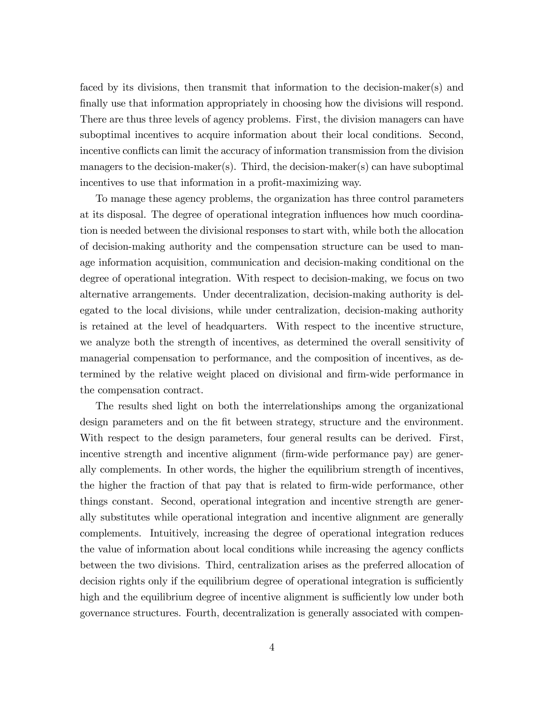faced by its divisions, then transmit that information to the decision-maker(s) and finally use that information appropriately in choosing how the divisions will respond. There are thus three levels of agency problems. First, the division managers can have suboptimal incentives to acquire information about their local conditions. Second, incentive conflicts can limit the accuracy of information transmission from the division managers to the decision-maker(s). Third, the decision-maker(s) can have suboptimal incentives to use that information in a profit-maximizing way.

To manage these agency problems, the organization has three control parameters at its disposal. The degree of operational integration ináuences how much coordination is needed between the divisional responses to start with, while both the allocation of decision-making authority and the compensation structure can be used to manage information acquisition, communication and decision-making conditional on the degree of operational integration. With respect to decision-making, we focus on two alternative arrangements. Under decentralization, decision-making authority is delegated to the local divisions, while under centralization, decision-making authority is retained at the level of headquarters. With respect to the incentive structure, we analyze both the strength of incentives, as determined the overall sensitivity of managerial compensation to performance, and the composition of incentives, as determined by the relative weight placed on divisional and firm-wide performance in the compensation contract.

The results shed light on both the interrelationships among the organizational design parameters and on the fit between strategy, structure and the environment. With respect to the design parameters, four general results can be derived. First, incentive strength and incentive alignment (firm-wide performance pay) are generally complements. In other words, the higher the equilibrium strength of incentives, the higher the fraction of that pay that is related to firm-wide performance, other things constant. Second, operational integration and incentive strength are generally substitutes while operational integration and incentive alignment are generally complements. Intuitively, increasing the degree of operational integration reduces the value of information about local conditions while increasing the agency conflicts between the two divisions. Third, centralization arises as the preferred allocation of decision rights only if the equilibrium degree of operational integration is sufficiently high and the equilibrium degree of incentive alignment is sufficiently low under both governance structures. Fourth, decentralization is generally associated with compen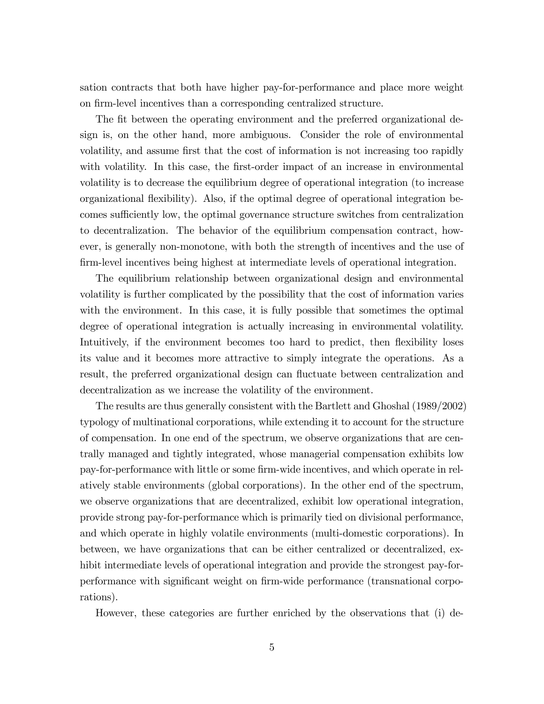sation contracts that both have higher pay-for-performance and place more weight on firm-level incentives than a corresponding centralized structure.

The fit between the operating environment and the preferred organizational design is, on the other hand, more ambiguous. Consider the role of environmental volatility, and assume first that the cost of information is not increasing too rapidly with volatility. In this case, the first-order impact of an increase in environmental volatility is to decrease the equilibrium degree of operational integration (to increase organizational áexibility). Also, if the optimal degree of operational integration becomes sufficiently low, the optimal governance structure switches from centralization to decentralization. The behavior of the equilibrium compensation contract, however, is generally non-monotone, with both the strength of incentives and the use of firm-level incentives being highest at intermediate levels of operational integration.

The equilibrium relationship between organizational design and environmental volatility is further complicated by the possibility that the cost of information varies with the environment. In this case, it is fully possible that sometimes the optimal degree of operational integration is actually increasing in environmental volatility. Intuitively, if the environment becomes too hard to predict, then flexibility loses its value and it becomes more attractive to simply integrate the operations. As a result, the preferred organizational design can fluctuate between centralization and decentralization as we increase the volatility of the environment.

The results are thus generally consistent with the Bartlett and Ghoshal (1989/2002) typology of multinational corporations, while extending it to account for the structure of compensation. In one end of the spectrum, we observe organizations that are centrally managed and tightly integrated, whose managerial compensation exhibits low pay-for-performance with little or some firm-wide incentives, and which operate in relatively stable environments (global corporations). In the other end of the spectrum, we observe organizations that are decentralized, exhibit low operational integration, provide strong pay-for-performance which is primarily tied on divisional performance, and which operate in highly volatile environments (multi-domestic corporations). In between, we have organizations that can be either centralized or decentralized, exhibit intermediate levels of operational integration and provide the strongest pay-forperformance with significant weight on firm-wide performance (transnational corporations).

However, these categories are further enriched by the observations that (i) de-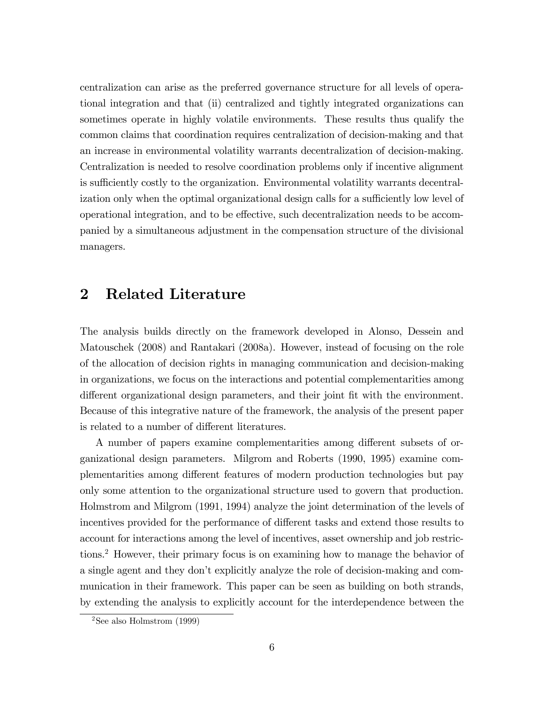centralization can arise as the preferred governance structure for all levels of operational integration and that (ii) centralized and tightly integrated organizations can sometimes operate in highly volatile environments. These results thus qualify the common claims that coordination requires centralization of decision-making and that an increase in environmental volatility warrants decentralization of decision-making. Centralization is needed to resolve coordination problems only if incentive alignment is sufficiently costly to the organization. Environmental volatility warrants decentralization only when the optimal organizational design calls for a sufficiently low level of operational integration, and to be effective, such decentralization needs to be accompanied by a simultaneous adjustment in the compensation structure of the divisional managers.

### 2 Related Literature

The analysis builds directly on the framework developed in Alonso, Dessein and Matouschek (2008) and Rantakari (2008a). However, instead of focusing on the role of the allocation of decision rights in managing communication and decision-making in organizations, we focus on the interactions and potential complementarities among different organizational design parameters, and their joint fit with the environment. Because of this integrative nature of the framework, the analysis of the present paper is related to a number of different literatures.

A number of papers examine complementarities among different subsets of organizational design parameters. Milgrom and Roberts (1990, 1995) examine complementarities among different features of modern production technologies but pay only some attention to the organizational structure used to govern that production. Holmstrom and Milgrom (1991, 1994) analyze the joint determination of the levels of incentives provided for the performance of different tasks and extend those results to account for interactions among the level of incentives, asset ownership and job restrictions.<sup>2</sup> However, their primary focus is on examining how to manage the behavior of a single agent and they donít explicitly analyze the role of decision-making and communication in their framework. This paper can be seen as building on both strands, by extending the analysis to explicitly account for the interdependence between the

 $2$ See also Holmstrom (1999)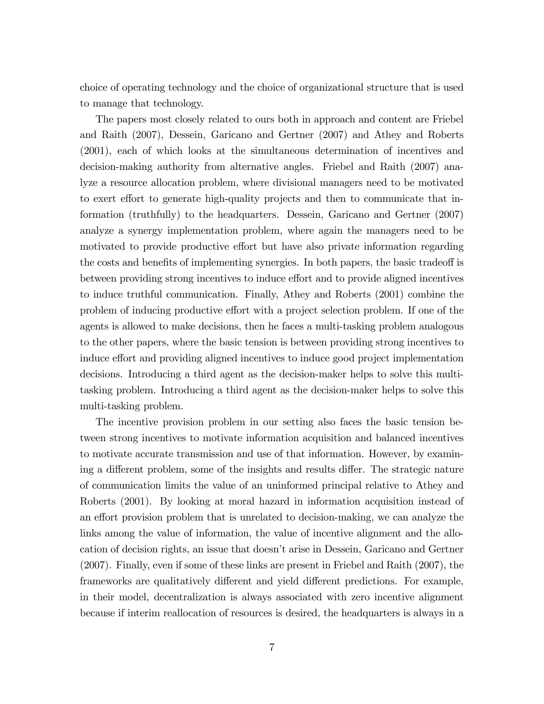choice of operating technology and the choice of organizational structure that is used to manage that technology.

The papers most closely related to ours both in approach and content are Friebel and Raith (2007), Dessein, Garicano and Gertner (2007) and Athey and Roberts (2001), each of which looks at the simultaneous determination of incentives and decision-making authority from alternative angles. Friebel and Raith (2007) analyze a resource allocation problem, where divisional managers need to be motivated to exert effort to generate high-quality projects and then to communicate that information (truthfully) to the headquarters. Dessein, Garicano and Gertner (2007) analyze a synergy implementation problem, where again the managers need to be motivated to provide productive effort but have also private information regarding the costs and benefits of implementing synergies. In both papers, the basic tradeoff is between providing strong incentives to induce effort and to provide aligned incentives to induce truthful communication. Finally, Athey and Roberts (2001) combine the problem of inducing productive effort with a project selection problem. If one of the agents is allowed to make decisions, then he faces a multi-tasking problem analogous to the other papers, where the basic tension is between providing strong incentives to induce effort and providing aligned incentives to induce good project implementation decisions. Introducing a third agent as the decision-maker helps to solve this multitasking problem. Introducing a third agent as the decision-maker helps to solve this multi-tasking problem.

The incentive provision problem in our setting also faces the basic tension between strong incentives to motivate information acquisition and balanced incentives to motivate accurate transmission and use of that information. However, by examining a different problem, some of the insights and results differ. The strategic nature of communication limits the value of an uninformed principal relative to Athey and Roberts (2001). By looking at moral hazard in information acquisition instead of an effort provision problem that is unrelated to decision-making, we can analyze the links among the value of information, the value of incentive alignment and the allocation of decision rights, an issue that doesn't arise in Dessein, Garicano and Gertner (2007). Finally, even if some of these links are present in Friebel and Raith (2007), the frameworks are qualitatively different and yield different predictions. For example, in their model, decentralization is always associated with zero incentive alignment because if interim reallocation of resources is desired, the headquarters is always in a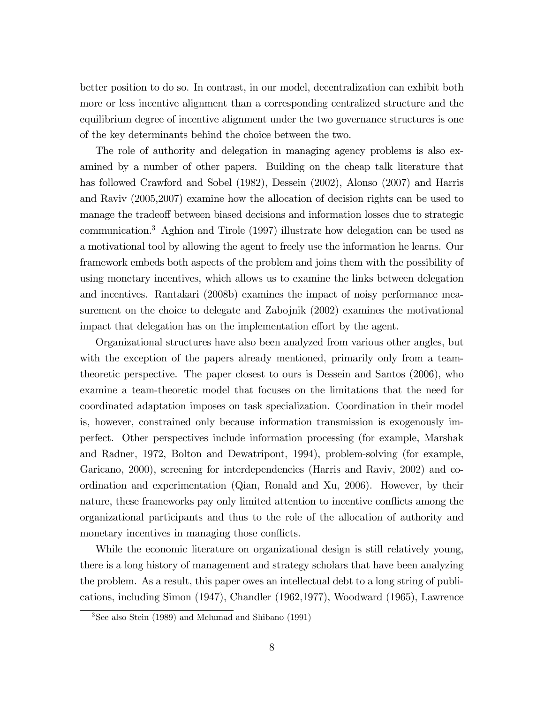better position to do so. In contrast, in our model, decentralization can exhibit both more or less incentive alignment than a corresponding centralized structure and the equilibrium degree of incentive alignment under the two governance structures is one of the key determinants behind the choice between the two.

The role of authority and delegation in managing agency problems is also examined by a number of other papers. Building on the cheap talk literature that has followed Crawford and Sobel (1982), Dessein (2002), Alonso (2007) and Harris and Raviv (2005,2007) examine how the allocation of decision rights can be used to manage the tradeoff between biased decisions and information losses due to strategic communication.<sup>3</sup> Aghion and Tirole (1997) illustrate how delegation can be used as a motivational tool by allowing the agent to freely use the information he learns. Our framework embeds both aspects of the problem and joins them with the possibility of using monetary incentives, which allows us to examine the links between delegation and incentives. Rantakari (2008b) examines the impact of noisy performance measurement on the choice to delegate and Zabojnik (2002) examines the motivational impact that delegation has on the implementation effort by the agent.

Organizational structures have also been analyzed from various other angles, but with the exception of the papers already mentioned, primarily only from a teamtheoretic perspective. The paper closest to ours is Dessein and Santos (2006), who examine a team-theoretic model that focuses on the limitations that the need for coordinated adaptation imposes on task specialization. Coordination in their model is, however, constrained only because information transmission is exogenously imperfect. Other perspectives include information processing (for example, Marshak and Radner, 1972, Bolton and Dewatripont, 1994), problem-solving (for example, Garicano, 2000), screening for interdependencies (Harris and Raviv, 2002) and coordination and experimentation (Qian, Ronald and Xu, 2006). However, by their nature, these frameworks pay only limited attention to incentive conflicts among the organizational participants and thus to the role of the allocation of authority and monetary incentives in managing those conflicts.

While the economic literature on organizational design is still relatively young, there is a long history of management and strategy scholars that have been analyzing the problem. As a result, this paper owes an intellectual debt to a long string of publications, including Simon (1947), Chandler (1962,1977), Woodward (1965), Lawrence

<sup>3</sup>See also Stein (1989) and Melumad and Shibano (1991)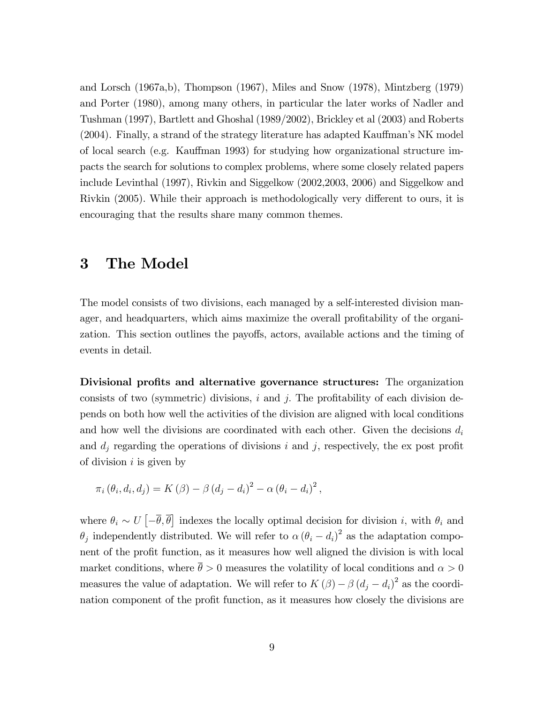and Lorsch (1967a,b), Thompson (1967), Miles and Snow (1978), Mintzberg (1979) and Porter (1980), among many others, in particular the later works of Nadler and Tushman (1997), Bartlett and Ghoshal (1989/2002), Brickley et al (2003) and Roberts  $(2004)$ . Finally, a strand of the strategy literature has adapted Kauffman's NK model of local search (e.g. Kauffman 1993) for studying how organizational structure impacts the search for solutions to complex problems, where some closely related papers include Levinthal (1997), Rivkin and Siggelkow (2002,2003, 2006) and Siggelkow and Rivkin (2005). While their approach is methodologically very different to ours, it is encouraging that the results share many common themes.

### 3 The Model

The model consists of two divisions, each managed by a self-interested division manager, and headquarters, which aims maximize the overall profitability of the organization. This section outlines the payoffs, actors, available actions and the timing of events in detail.

Divisional profits and alternative governance structures: The organization consists of two (symmetric) divisions,  $i$  and  $j$ . The profitability of each division depends on both how well the activities of the division are aligned with local conditions and how well the divisions are coordinated with each other. Given the decisions  $d_i$ and  $d_j$  regarding the operations of divisions i and j, respectively, the ex post profit of division  $i$  is given by

$$
\pi_i(\theta_i, d_i, d_j) = K(\beta) - \beta (d_j - d_i)^2 - \alpha (\theta_i - d_i)^2,
$$

where  $\theta_i \sim U\left[-\overline{\theta}, \overline{\theta}\right]$  indexes the locally optimal decision for division i, with  $\theta_i$  and  $\theta_j$  independently distributed. We will refer to  $\alpha (\theta_i - d_i)^2$  as the adaptation component of the profit function, as it measures how well aligned the division is with local market conditions, where  $\bar{\theta} > 0$  measures the volatility of local conditions and  $\alpha > 0$ measures the value of adaptation. We will refer to  $K(\beta) - \beta (d_j - d_i)^2$  as the coordination component of the profit function, as it measures how closely the divisions are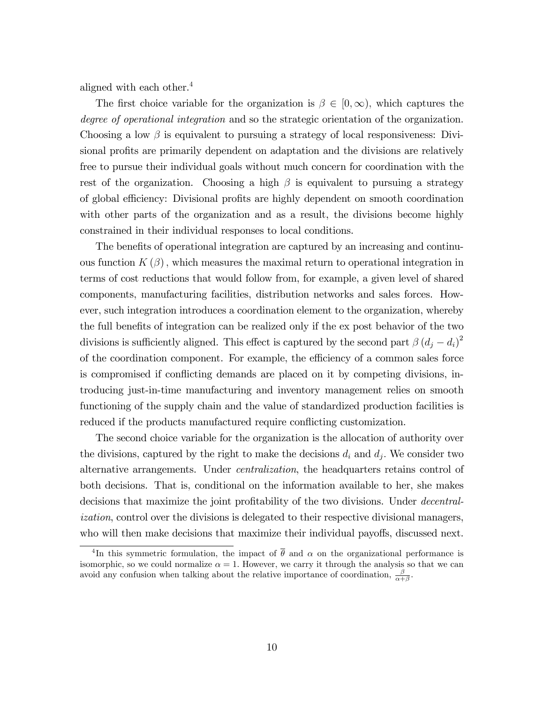aligned with each other.<sup>4</sup>

The first choice variable for the organization is  $\beta \in [0,\infty)$ , which captures the degree of operational integration and so the strategic orientation of the organization. Choosing a low  $\beta$  is equivalent to pursuing a strategy of local responsiveness: Divisional profits are primarily dependent on adaptation and the divisions are relatively free to pursue their individual goals without much concern for coordination with the rest of the organization. Choosing a high  $\beta$  is equivalent to pursuing a strategy of global efficiency: Divisional profits are highly dependent on smooth coordination with other parts of the organization and as a result, the divisions become highly constrained in their individual responses to local conditions.

The benefits of operational integration are captured by an increasing and continuous function  $K(\beta)$ , which measures the maximal return to operational integration in terms of cost reductions that would follow from, for example, a given level of shared components, manufacturing facilities, distribution networks and sales forces. However, such integration introduces a coordination element to the organization, whereby the full benefits of integration can be realized only if the ex post behavior of the two divisions is sufficiently aligned. This effect is captured by the second part  $\beta (d_j - d_i)^2$ of the coordination component. For example, the efficiency of a common sales force is compromised if conflicting demands are placed on it by competing divisions, introducing just-in-time manufacturing and inventory management relies on smooth functioning of the supply chain and the value of standardized production facilities is reduced if the products manufactured require conflicting customization.

The second choice variable for the organization is the allocation of authority over the divisions, captured by the right to make the decisions  $d_i$  and  $d_j$ . We consider two alternative arrangements. Under centralization, the headquarters retains control of both decisions. That is, conditional on the information available to her, she makes decisions that maximize the joint profitability of the two divisions. Under *decentral*ization, control over the divisions is delegated to their respective divisional managers, who will then make decisions that maximize their individual payoffs, discussed next.

<sup>&</sup>lt;sup>4</sup>In this symmetric formulation, the impact of  $\bar{\theta}$  and  $\alpha$  on the organizational performance is isomorphic, so we could normalize  $\alpha = 1$ . However, we carry it through the analysis so that we can avoid any confusion when talking about the relative importance of coordination,  $\frac{\beta}{\alpha+\beta}$ .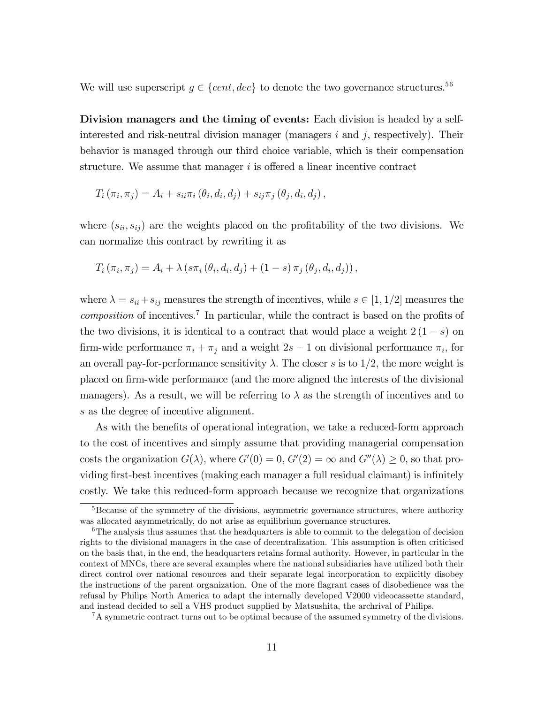We will use superscript  $g \in \{cent, dec\}$  to denote the two governance structures.<sup>56</sup>

Division managers and the timing of events: Each division is headed by a selfinterested and risk-neutral division manager (managers  $i$  and  $j$ , respectively). Their behavior is managed through our third choice variable, which is their compensation structure. We assume that manager  $i$  is offered a linear incentive contract

$$
T_i(\pi_i, \pi_j) = A_i + s_{ii}\pi_i(\theta_i, d_i, d_j) + s_{ij}\pi_j(\theta_j, d_i, d_j),
$$

where  $(s_{ii}, s_{ij})$  are the weights placed on the profitability of the two divisions. We can normalize this contract by rewriting it as

$$
T_i (\pi_i, \pi_j) = A_i + \lambda (s \pi_i (\theta_i, d_i, d_j) + (1 - s) \pi_j (\theta_j, d_i, d_j)),
$$

where  $\lambda = s_{ii} + s_{ij}$  measures the strength of incentives, while  $s \in [1, 1/2]$  measures the  $composition$  of incentives.<sup>7</sup> In particular, while the contract is based on the profits of the two divisions, it is identical to a contract that would place a weight  $2(1-s)$  on firm-wide performance  $\pi_i + \pi_j$  and a weight  $2s - 1$  on divisional performance  $\pi_i$ , for an overall pay-for-performance sensitivity  $\lambda$ . The closer s is to 1/2, the more weight is placed on firm-wide performance (and the more aligned the interests of the divisional managers). As a result, we will be referring to  $\lambda$  as the strength of incentives and to s as the degree of incentive alignment.

As with the benefits of operational integration, we take a reduced-form approach to the cost of incentives and simply assume that providing managerial compensation costs the organization  $G(\lambda)$ , where  $G'(0) = 0$ ,  $G'(2) = \infty$  and  $G''(\lambda) \geq 0$ , so that providing first-best incentives (making each manager a full residual claimant) is infinitely costly. We take this reduced-form approach because we recognize that organizations

 ${}^{7}$ A symmetric contract turns out to be optimal because of the assumed symmetry of the divisions.

<sup>&</sup>lt;sup>5</sup>Because of the symmetry of the divisions, asymmetric governance structures, where authority was allocated asymmetrically, do not arise as equilibrium governance structures.

 $6$ The analysis thus assumes that the headquarters is able to commit to the delegation of decision rights to the divisional managers in the case of decentralization. This assumption is often criticised on the basis that, in the end, the headquarters retains formal authority. However, in particular in the context of MNCs, there are several examples where the national subsidiaries have utilized both their direct control over national resources and their separate legal incorporation to explicitly disobey the instructions of the parent organization. One of the more flagrant cases of disobedience was the refusal by Philips North America to adapt the internally developed V2000 videocassette standard, and instead decided to sell a VHS product supplied by Matsushita, the archrival of Philips.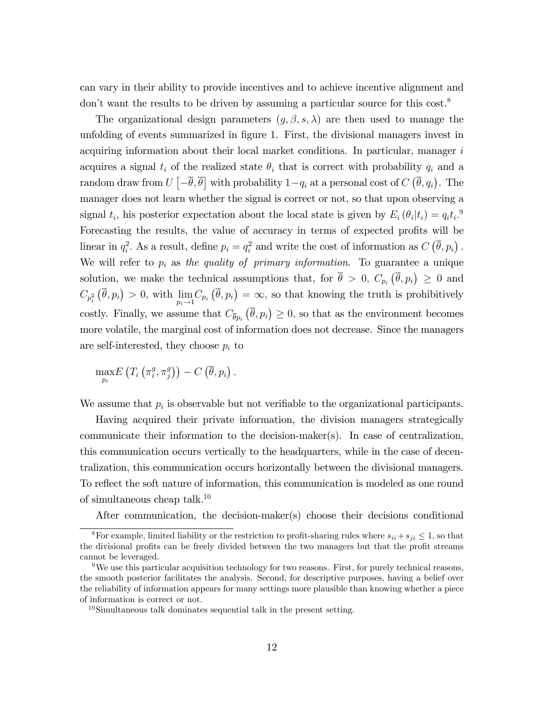can vary in their ability to provide incentives and to achieve incentive alignment and don't want the results to be driven by assuming a particular source for this  $\cos t$ .<sup>8</sup>

The organizational design parameters  $(g, \beta, s, \lambda)$  are then used to manage the unfolding of events summarized in figure 1. First, the divisional managers invest in acquiring information about their local market conditions. In particular, manager  $i$ acquires a signal  $t_i$  of the realized state  $\theta_i$  that is correct with probability  $q_i$  and a random draw from  $U\left[-\overline{\theta}, \overline{\theta}\right]$  with probability  $1-q_i$  at a personal cost of  $C\left(\overline{\theta}, q_i\right)$ . The manager does not learn whether the signal is correct or not, so that upon observing a signal  $t_i$ , his posterior expectation about the local state is given by  $E_i(\theta_i|t_i) = q_i t_i$ .<sup>9</sup> Forecasting the results, the value of accuracy in terms of expected profits will be linear in  $q_i^2$ . As a result, define  $p_i = q_i^2$  and write the cost of information as  $C(\bar{\theta}, p_i)$ . We will refer to  $p_i$  as the quality of primary information. To guarantee a unique solution, we make the technical assumptions that, for  $\bar{\theta} > 0$ ,  $C_{p_i}(\bar{\theta}, p_i) \geq 0$  and  $C_{p_i^2}(\overline{\theta}, p_i) > 0$ , with  $\lim_{n \to \infty}$  $\lim_{p_i \to 1} C_{p_i} (\overline{\theta}, p_i) = \infty$ , so that knowing the truth is prohibitively costly. Finally, we assume that  $C_{\overline{\theta}p_i}(\overline{\theta}, p_i) \geq 0$ , so that as the environment becomes more volatile, the marginal cost of information does not decrease. Since the managers are self-interested, they choose  $p_i$  to

$$
\max_{p_i} E\left(T_i\left(\pi_i^g, \pi_j^g\right)\right) - C\left(\overline{\theta}, p_i\right).
$$

We assume that  $p_i$  is observable but not verifiable to the organizational participants.

Having acquired their private information, the division managers strategically communicate their information to the decision-maker(s). In case of centralization, this communication occurs vertically to the headquarters, while in the case of decentralization, this communication occurs horizontally between the divisional managers. To reflect the soft nature of information, this communication is modeled as one round of simultaneous cheap talk.<sup>10</sup>

After communication, the decision-maker(s) choose their decisions conditional

<sup>&</sup>lt;sup>8</sup>For example, limited liability or the restriction to profit-sharing rules where  $s_{ii} + s_{ji} \leq 1$ , so that the divisional profits can be freely divided between the two managers but that the profit streams cannot be leveraged.

<sup>9</sup>We use this particular acquisition technology for two reasons. First, for purely technical reasons, the smooth posterior facilitates the analysis. Second, for descriptive purposes, having a belief over the reliability of information appears for many settings more plausible than knowing whether a piece of information is correct or not.

 $10$ Simultaneous talk dominates sequential talk in the present setting.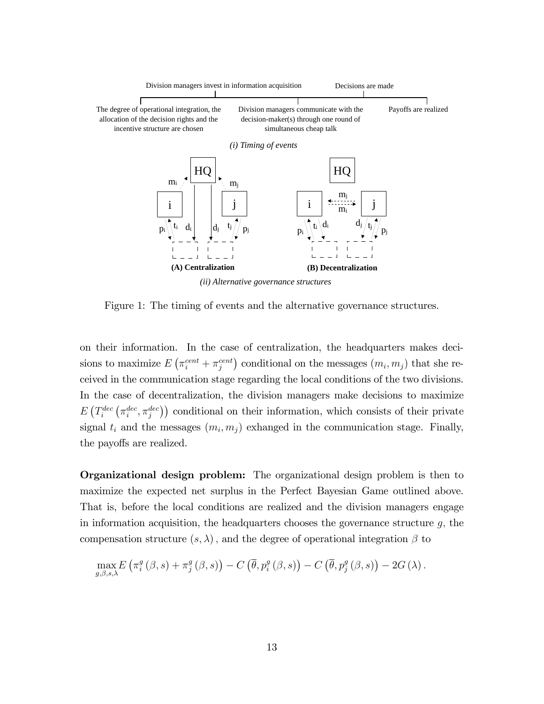

*(ii) Alternative governance structures*

Figure 1: The timing of events and the alternative governance structures.

on their information. In the case of centralization, the headquarters makes decisions to maximize  $E\left(\pi_i^{cent} + \pi_j^{cent}\right)$  conditional on the messages  $(m_i, m_j)$  that she received in the communication stage regarding the local conditions of the two divisions. In the case of decentralization, the division managers make decisions to maximize  $E\left(T_i^{dec}\left(\pi_i^{dec},\pi_j^{dec}\right)\right)$  conditional on their information, which consists of their private signal  $t_i$  and the messages  $(m_i, m_j)$  exhanged in the communication stage. Finally, the payoffs are realized.

Organizational design problem: The organizational design problem is then to maximize the expected net surplus in the Perfect Bayesian Game outlined above. That is, before the local conditions are realized and the division managers engage in information acquisition, the headquarters chooses the governance structure  $g$ , the compensation structure  $(s, \lambda)$ , and the degree of operational integration  $\beta$  to

$$
\max_{g,\beta,s,\lambda} E\left(\pi_i^g\left(\beta,s\right)+\pi_j^g\left(\beta,s\right)\right)-C\left(\overline{\theta},p_i^g\left(\beta,s\right)\right)-C\left(\overline{\theta},p_j^g\left(\beta,s\right)\right)-2G\left(\lambda\right).
$$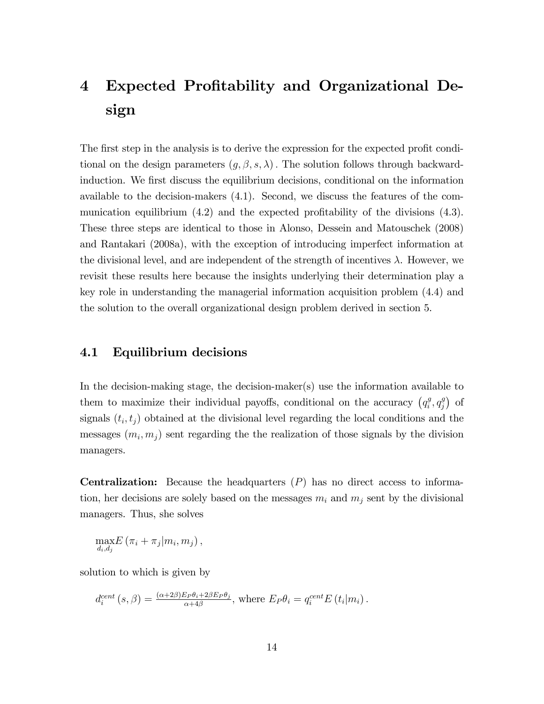# 4 Expected Profitability and Organizational Design

The first step in the analysis is to derive the expression for the expected profit conditional on the design parameters  $(g, \beta, s, \lambda)$ . The solution follows through backwardinduction. We Örst discuss the equilibrium decisions, conditional on the information available to the decision-makers (4.1). Second, we discuss the features of the communication equilibrium  $(4.2)$  and the expected profitability of the divisions  $(4.3)$ . These three steps are identical to those in Alonso, Dessein and Matouschek (2008) and Rantakari (2008a), with the exception of introducing imperfect information at the divisional level, and are independent of the strength of incentives  $\lambda$ . However, we revisit these results here because the insights underlying their determination play a key role in understanding the managerial information acquisition problem (4.4) and the solution to the overall organizational design problem derived in section 5.

#### 4.1 Equilibrium decisions

In the decision-making stage, the decision-maker(s) use the information available to them to maximize their individual payoffs, conditional on the accuracy  $\left(q_i^g\right)$  $i^g, q_j^g$  $_j^g$ ) of signals  $(t_i, t_j)$  obtained at the divisional level regarding the local conditions and the messages  $(m_i, m_j)$  sent regarding the the realization of those signals by the division managers.

**Centralization:** Because the headquarters  $(P)$  has no direct access to information, her decisions are solely based on the messages  $m_i$  and  $m_j$  sent by the divisional managers. Thus, she solves

$$
\max_{d_i,d_j} E(\pi_i+\pi_j|m_i,m_j),
$$

solution to which is given by

$$
d_i^{cent}(s, \beta) = \frac{(\alpha + 2\beta)E_P\theta_i + 2\beta E_P\theta_j}{\alpha + 4\beta}, \text{ where } E_P\theta_i = q_i^{cent}E(t_i|m_i).
$$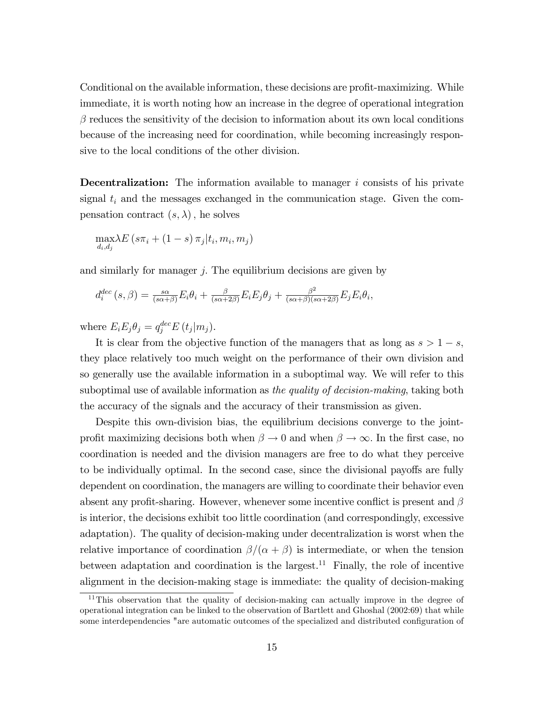Conditional on the available information, these decisions are profit-maximizing. While immediate, it is worth noting how an increase in the degree of operational integration  $\beta$  reduces the sensitivity of the decision to information about its own local conditions because of the increasing need for coordination, while becoming increasingly responsive to the local conditions of the other division.

**Decentralization:** The information available to manager  $i$  consists of his private signal  $t_i$  and the messages exchanged in the communication stage. Given the compensation contract  $(s, \lambda)$ , he solves

$$
\max_{d_i, d_j} \lambda E\left(s\pi_i + (1-s)\,\pi_j\middle| t_i, m_i, m_j\right)
$$

and similarly for manager  $j$ . The equilibrium decisions are given by

$$
d_i^{dec}(s,\beta) = \frac{s\alpha}{(s\alpha+\beta)}E_i\theta_i + \frac{\beta}{(s\alpha+2\beta)}E_iE_j\theta_j + \frac{\beta^2}{(s\alpha+\beta)(s\alpha+2\beta)}E_jE_i\theta_i,
$$

where  $E_i E_j \theta_j = q_j^{dec} E(t_j | m_j)$ .

It is clear from the objective function of the managers that as long as  $s > 1 - s$ , they place relatively too much weight on the performance of their own division and so generally use the available information in a suboptimal way. We will refer to this suboptimal use of available information as the quality of decision-making, taking both the accuracy of the signals and the accuracy of their transmission as given.

Despite this own-division bias, the equilibrium decisions converge to the jointprofit maximizing decisions both when  $\beta \to 0$  and when  $\beta \to \infty$ . In the first case, no coordination is needed and the division managers are free to do what they perceive to be individually optimal. In the second case, since the divisional payoffs are fully dependent on coordination, the managers are willing to coordinate their behavior even absent any profit-sharing. However, whenever some incentive conflict is present and  $\beta$ is interior, the decisions exhibit too little coordination (and correspondingly, excessive adaptation). The quality of decision-making under decentralization is worst when the relative importance of coordination  $\beta/(\alpha + \beta)$  is intermediate, or when the tension between adaptation and coordination is the largest.<sup>11</sup> Finally, the role of incentive alignment in the decision-making stage is immediate: the quality of decision-making

<sup>&</sup>lt;sup>11</sup>This observation that the quality of decision-making can actually improve in the degree of operational integration can be linked to the observation of Bartlett and Ghoshal (2002:69) that while some interdependencies "are automatic outcomes of the specialized and distributed configuration of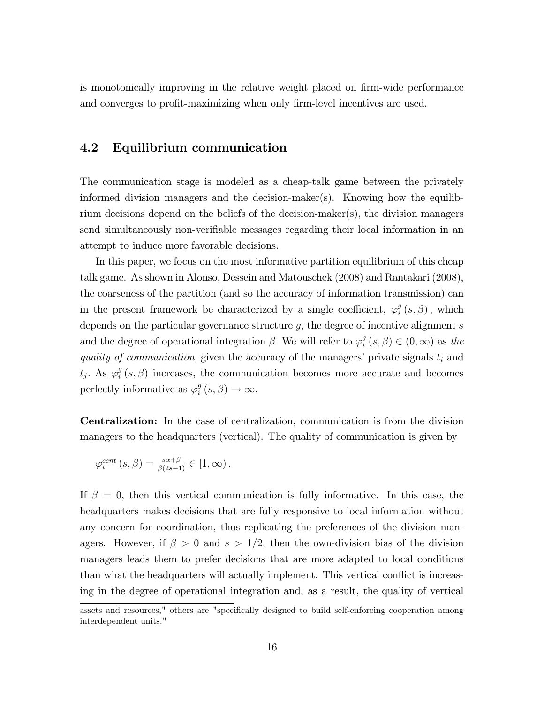is monotonically improving in the relative weight placed on firm-wide performance and converges to profit-maximizing when only firm-level incentives are used.

### 4.2 Equilibrium communication

The communication stage is modeled as a cheap-talk game between the privately informed division managers and the decision-maker(s). Knowing how the equilibrium decisions depend on the beliefs of the decision-maker(s), the division managers send simultaneously non-verifiable messages regarding their local information in an attempt to induce more favorable decisions.

In this paper, we focus on the most informative partition equilibrium of this cheap talk game. As shown in Alonso, Dessein and Matouschek (2008) and Rantakari (2008), the coarseness of the partition (and so the accuracy of information transmission) can in the present framework be characterized by a single coefficient,  $\varphi_i^g$  $_{i}^{g}\left( s,\beta\right) ,\text{ which}% \left( y^{\prime}\right) \equiv\sum_{k}\left( y^{\prime}\right) \left( y^{\prime}\right) ^{k}\left( y^{\prime}\right) ^{k},$ depends on the particular governance structure  $g$ , the degree of incentive alignment  $s$ and the degree of operational integration  $\beta$ . We will refer to  $\varphi_i^g$  $\binom{g}{i}(s,\beta) \in (0,\infty)$  as the quality of communication, given the accuracy of the managers' private signals  $t_i$  and  $t_j$ . As  $\varphi_i^g$  $\binom{g}{i}(s,\beta)$  increases, the communication becomes more accurate and becomes perfectly informative as  $\varphi_i^g$  $_{i}^{g}(s,\beta)\rightarrow\infty.$ 

Centralization: In the case of centralization, communication is from the division managers to the headquarters (vertical). The quality of communication is given by

$$
\varphi_i^{cent}\left(s,\beta\right) = \frac{s\alpha+\beta}{\beta(2s-1)} \in [1,\infty).
$$

If  $\beta = 0$ , then this vertical communication is fully informative. In this case, the headquarters makes decisions that are fully responsive to local information without any concern for coordination, thus replicating the preferences of the division managers. However, if  $\beta > 0$  and  $s > 1/2$ , then the own-division bias of the division managers leads them to prefer decisions that are more adapted to local conditions than what the headquarters will actually implement. This vertical conflict is increasing in the degree of operational integration and, as a result, the quality of vertical

assets and resources," others are "specifically designed to build self-enforcing cooperation among interdependent units."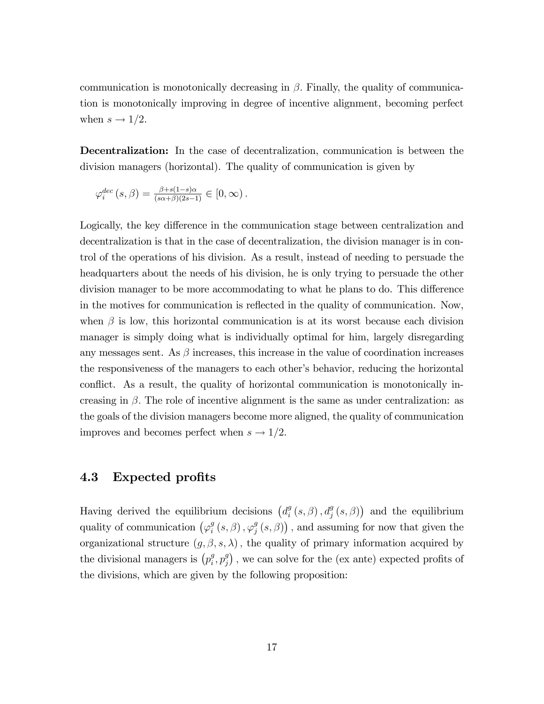communication is monotonically decreasing in  $\beta$ . Finally, the quality of communication is monotonically improving in degree of incentive alignment, becoming perfect when  $s \to 1/2$ .

Decentralization: In the case of decentralization, communication is between the division managers (horizontal). The quality of communication is given by

$$
\varphi_i^{dec}(s,\beta) = \frac{\beta + s(1-s)\alpha}{(s\alpha + \beta)(2s-1)} \in [0,\infty).
$$

Logically, the key difference in the communication stage between centralization and decentralization is that in the case of decentralization, the division manager is in control of the operations of his division. As a result, instead of needing to persuade the headquarters about the needs of his division, he is only trying to persuade the other division manager to be more accommodating to what he plans to do. This difference in the motives for communication is reflected in the quality of communication. Now, when  $\beta$  is low, this horizontal communication is at its worst because each division manager is simply doing what is individually optimal for him, largely disregarding any messages sent. As  $\beta$  increases, this increase in the value of coordination increases the responsiveness of the managers to each other's behavior, reducing the horizontal conflict. As a result, the quality of horizontal communication is monotonically increasing in  $\beta$ . The role of incentive alignment is the same as under centralization: as the goals of the division managers become more aligned, the quality of communication improves and becomes perfect when  $s \to 1/2$ .

#### 4.3 Expected profits

Having derived the equilibrium decisions  $\left(d_i^g\right)$  $\binom{g}{i}(s,\beta), d_j^g(s,\beta)$  and the equilibrium quality of communication  $(\varphi_i^g)$  $_{i}^{g}\left( s,\beta\right) ,\varphi_{j}^{g}% \left( s,\beta\right)$  $\binom{g}{j}(s,\beta)$ , and assuming for now that given the organizational structure  $(g, \beta, s, \lambda)$ , the quality of primary information acquired by the divisional managers is  $(p_i^g)$  $i^g, p_j^g$  $_{j}^{g}$ ), we can solve for the (ex ante) expected profits of the divisions, which are given by the following proposition: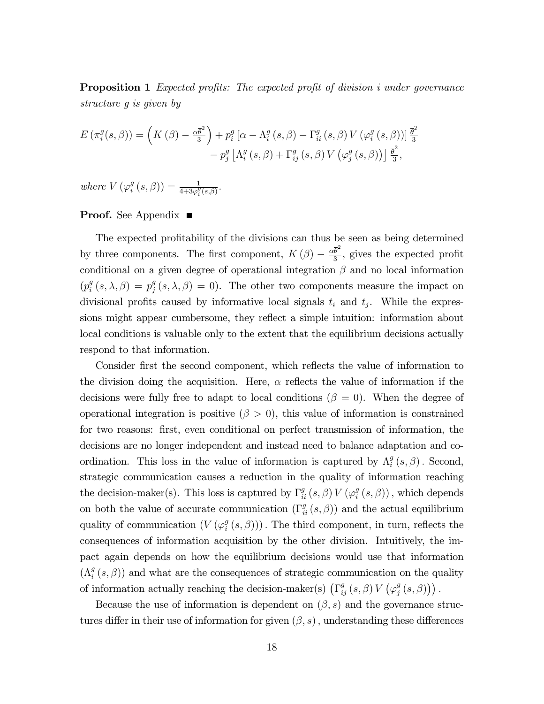**Proposition 1** Expected profits: The expected profit of division i under governance structure g is given by

$$
E(\pi_i^g(s,\beta)) = \left(K(\beta) - \frac{\alpha \bar{\theta}^2}{3}\right) + p_i^g \left[\alpha - \Lambda_i^g(s,\beta) - \Gamma_{ii}^g(s,\beta) V\left(\varphi_i^g(s,\beta)\right)\right] \frac{\bar{\theta}^2}{3} - p_j^g \left[\Lambda_i^g(s,\beta) + \Gamma_{ij}^g(s,\beta) V\left(\varphi_j^g(s,\beta)\right)\right] \frac{\bar{\theta}^2}{3},
$$

where  $V(\varphi_i^g)$  $i_{i}^{g}(s, \beta)) = \frac{1}{4 + 3\varphi_{i}^{g}(s, \beta)}.$ 

#### Proof. See Appendix ■

The expected profitability of the divisions can thus be seen as being determined by three components. The first component,  $K(\beta) - \frac{\alpha \overline{\theta}^2}{3}$  $\frac{\theta}{3}$ , gives the expected profit conditional on a given degree of operational integration  $\beta$  and no local information  $(p_i^g)$  $\frac{g}{i}(s,\lambda,\beta)=p_j^g$  $_j^g(s, \lambda, \beta) = 0$ . The other two components measure the impact on divisional profits caused by informative local signals  $t_i$  and  $t_j$ . While the expressions might appear cumbersome, they reflect a simple intuition: information about local conditions is valuable only to the extent that the equilibrium decisions actually respond to that information.

Consider first the second component, which reflects the value of information to the division doing the acquisition. Here,  $\alpha$  reflects the value of information if the decisions were fully free to adapt to local conditions ( $\beta = 0$ ). When the degree of operational integration is positive  $(\beta > 0)$ , this value of information is constrained for two reasons: first, even conditional on perfect transmission of information, the decisions are no longer independent and instead need to balance adaptation and coordination. This loss in the value of information is captured by  $\Lambda_i^g$  $_{i}^{g}\left( s,\beta\right)$ . Second, strategic communication causes a reduction in the quality of information reaching the decision-maker(s). This loss is captured by  $\Gamma_{ii}^g(s,\beta)V(\varphi_i^g)$  $i_g^g(s, \beta)$ , which depends on both the value of accurate communication  $(\Gamma_{ii}^{g}(s, \beta))$  and the actual equilibrium quality of communication  $(V(\varphi_i^g))$  $\binom{g}{i}(s,\beta))$ . The third component, in turn, reflects the consequences of information acquisition by the other division. Intuitively, the impact again depends on how the equilibrium decisions would use that information  $(\Lambda_i^g)$  $\binom{g}{i}(s,\beta)$  and what are the consequences of strategic communication on the quality of information actually reaching the decision-maker(s)  $(\Gamma_{ij}^g(s,\beta)V(\varphi_j^g))$  $_{j}^{g}\left( s,\beta\right)$ ).

Because the use of information is dependent on  $(\beta, s)$  and the governance structures differ in their use of information for given  $(\beta, s)$ , understanding these differences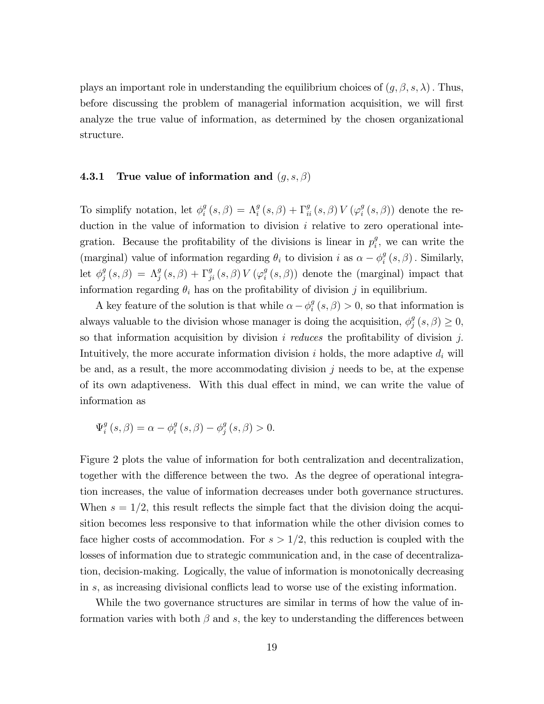plays an important role in understanding the equilibrium choices of  $(g, \beta, s, \lambda)$ . Thus, before discussing the problem of managerial information acquisition, we will first analyze the true value of information, as determined by the chosen organizational structure.

#### **4.3.1** True value of information and  $(g, s, \beta)$

To simplify notation, let  $\phi_i^g$  $\mathcal{S}_{i}^{g}\left(s,\beta\right)=\Lambda_{i}^{g}\left(s,\beta\right)+\Gamma_{ii}^{g}\left(s,\beta\right)V\left(\varphi_{i}^{g}\right)$  $\binom{g}{i}(s,\beta)$  denote the reduction in the value of information to division i relative to zero operational integration. Because the profitability of the divisions is linear in  $p_i^g$  $_i^g$ , we can write the (marginal) value of information regarding  $\theta_i$  to division i as  $\alpha - \phi_i^g$  $_{i}^{g}\left( s,\beta\right)$  . Similarly, let  $\phi_i^g$  $\mathcal{S}_{j}^{g}\left(s,\beta\right) \,=\,\Lambda_{j}^{g}\left(s,\beta\right)+\Gamma_{ji}^{g}\left(s,\beta\right)V\left(\varphi_{i}^{g}\right)$  $\binom{g}{i}(s,\beta)$  denote the (marginal) impact that information regarding  $\theta_i$  has on the profitability of division j in equilibrium.

A key feature of the solution is that while  $\alpha - \phi_i^g$  $i_i^g(s,\beta) > 0$ , so that information is always valuable to the division whose manager is doing the acquisition,  $\phi_i^g$  $j^g$  $(s,\beta) \geq 0,$ so that information acquisition by division i reduces the profitability of division j. Intuitively, the more accurate information division  $i$  holds, the more adaptive  $d_i$  will be and, as a result, the more accommodating division j needs to be, at the expense of its own adaptiveness. With this dual effect in mind, we can write the value of information as

$$
\Psi_i^g\left(s,\beta\right) = \alpha - \phi_i^g\left(s,\beta\right) - \phi_j^g\left(s,\beta\right) > 0.
$$

Figure 2 plots the value of information for both centralization and decentralization, together with the difference between the two. As the degree of operational integration increases, the value of information decreases under both governance structures. When  $s = 1/2$ , this result reflects the simple fact that the division doing the acquisition becomes less responsive to that information while the other division comes to face higher costs of accommodation. For  $s > 1/2$ , this reduction is coupled with the losses of information due to strategic communication and, in the case of decentralization, decision-making. Logically, the value of information is monotonically decreasing in  $s$ , as increasing divisional conflicts lead to worse use of the existing information.

While the two governance structures are similar in terms of how the value of information varies with both  $\beta$  and s, the key to understanding the differences between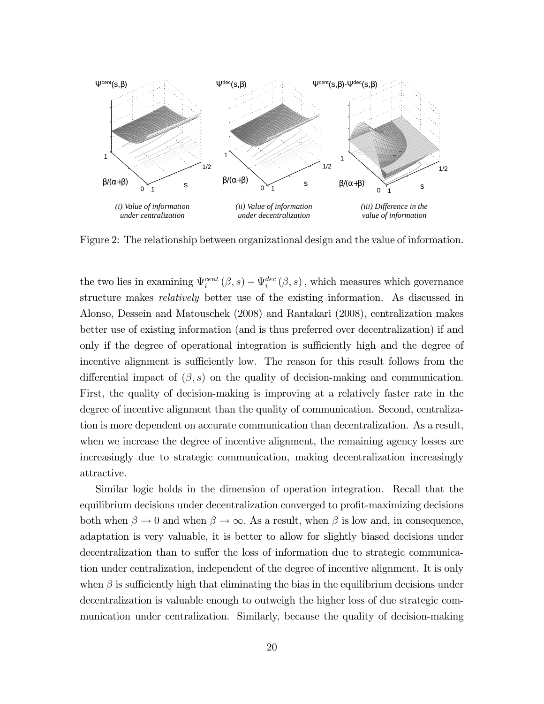

Figure 2: The relationship between organizational design and the value of information.

the two lies in examining  $\Psi_i^{cent}(\beta, s) - \Psi_i^{dec}(\beta, s)$ , which measures which governance structure makes relatively better use of the existing information. As discussed in Alonso, Dessein and Matouschek (2008) and Rantakari (2008), centralization makes better use of existing information (and is thus preferred over decentralization) if and only if the degree of operational integration is sufficiently high and the degree of incentive alignment is sufficiently low. The reason for this result follows from the differential impact of  $(\beta, s)$  on the quality of decision-making and communication. First, the quality of decision-making is improving at a relatively faster rate in the degree of incentive alignment than the quality of communication. Second, centralization is more dependent on accurate communication than decentralization. As a result, when we increase the degree of incentive alignment, the remaining agency losses are increasingly due to strategic communication, making decentralization increasingly attractive.

Similar logic holds in the dimension of operation integration. Recall that the equilibrium decisions under decentralization converged to profit-maximizing decisions both when  $\beta \to 0$  and when  $\beta \to \infty$ . As a result, when  $\beta$  is low and, in consequence, adaptation is very valuable, it is better to allow for slightly biased decisions under decentralization than to suffer the loss of information due to strategic communication under centralization, independent of the degree of incentive alignment. It is only when  $\beta$  is sufficiently high that eliminating the bias in the equilibrium decisions under decentralization is valuable enough to outweigh the higher loss of due strategic communication under centralization. Similarly, because the quality of decision-making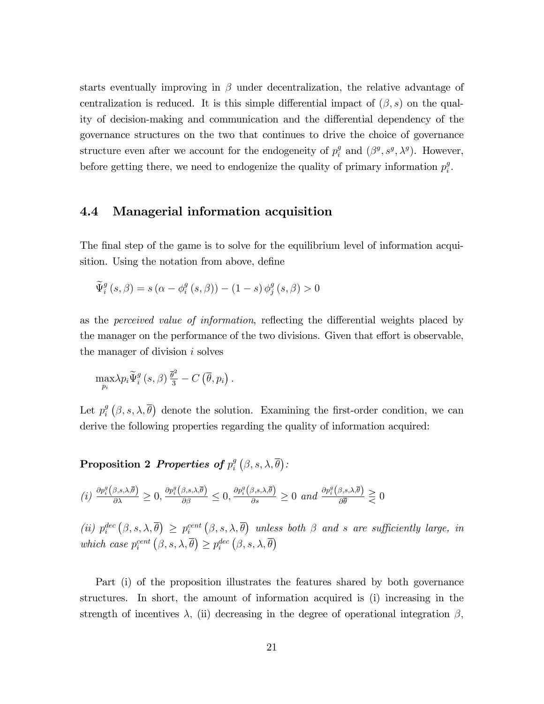starts eventually improving in  $\beta$  under decentralization, the relative advantage of centralization is reduced. It is this simple differential impact of  $(\beta, s)$  on the quality of decision-making and communication and the differential dependency of the governance structures on the two that continues to drive the choice of governance structure even after we account for the endogeneity of  $p_i^g$  $i<sup>g</sup>$  and  $(\beta<sup>g</sup>, s<sup>g</sup>, \lambda<sup>g</sup>)$ . However, before getting there, we need to endogenize the quality of primary information  $p_i^g$  $\frac{g}{i}$ .

#### 4.4 Managerial information acquisition

The final step of the game is to solve for the equilibrium level of information acquisition. Using the notation from above, define

$$
\widetilde{\Psi}_{i}^{g}\left(s,\beta\right)=s\left(\alpha-\phi_{i}^{g}\left(s,\beta\right)\right)-\left(1-s\right)\phi_{j}^{g}\left(s,\beta\right)>0
$$

as the *perceived value of information*, reflecting the differential weights placed by the manager on the performance of the two divisions. Given that effort is observable, the manager of division  $i$  solves

$$
\max_{p_i} \lambda p_i \widetilde{\Psi}_i^g\left(s, \beta\right) \frac{\overline{\theta}^2}{3} - C\left(\overline{\theta}, p_i\right).
$$

Let  $p_i^g$  $\hat{g}$   $(\beta, s, \lambda, \overline{\theta})$  denote the solution. Examining the first-order condition, we can derive the following properties regarding the quality of information acquired:

Proposition 2 Properties of  $p_i^g$  $_{i}^{g}\left( \beta,s,\lambda,\overline{\theta}\right)$  :

$$
(i) \frac{\partial p_i^g(\beta, s, \lambda, \overline{\theta})}{\partial \lambda} \ge 0, \frac{\partial p_i^g(\beta, s, \lambda, \overline{\theta})}{\partial \beta} \le 0, \frac{\partial p_i^g(\beta, s, \lambda, \overline{\theta})}{\partial s} \ge 0 \text{ and } \frac{\partial p_i^g(\beta, s, \lambda, \overline{\theta})}{\partial \overline{\theta}} \ge 0
$$

(ii)  $p_i^{dec}(\beta, s, \lambda, \overline{\theta}) \geq p_i^{cent}(\beta, s, \lambda, \overline{\theta})$  unless both  $\beta$  and s are sufficiently large, in which case  $p_i^{cent}(\beta, s, \lambda, \overline{\theta}) \geq p_i^{dec}(\beta, s, \lambda, \overline{\theta})$ 

Part (i) of the proposition illustrates the features shared by both governance structures. In short, the amount of information acquired is (i) increasing in the strength of incentives  $\lambda$ , (ii) decreasing in the degree of operational integration  $\beta$ ,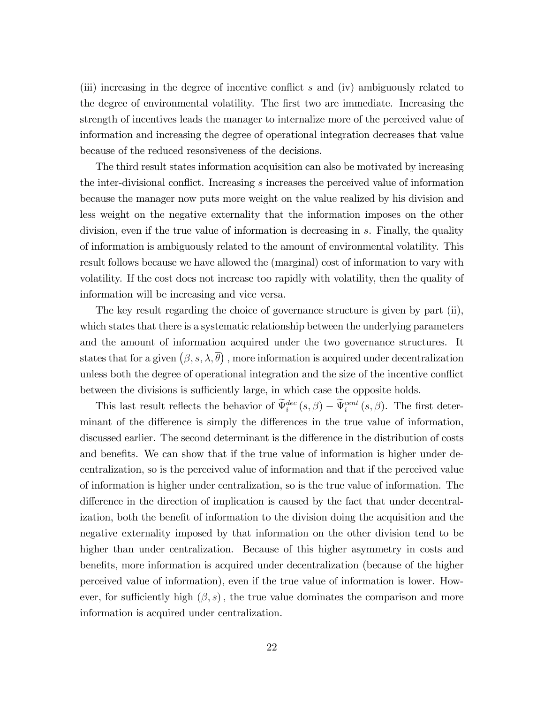(iii) increasing in the degree of incentive conflict  $s$  and (iv) ambiguously related to the degree of environmental volatility. The first two are immediate. Increasing the strength of incentives leads the manager to internalize more of the perceived value of information and increasing the degree of operational integration decreases that value because of the reduced resonsiveness of the decisions.

The third result states information acquisition can also be motivated by increasing the inter-divisional conflict. Increasing  $s$  increases the perceived value of information because the manager now puts more weight on the value realized by his division and less weight on the negative externality that the information imposes on the other division, even if the true value of information is decreasing in s. Finally, the quality of information is ambiguously related to the amount of environmental volatility. This result follows because we have allowed the (marginal) cost of information to vary with volatility. If the cost does not increase too rapidly with volatility, then the quality of information will be increasing and vice versa.

The key result regarding the choice of governance structure is given by part (ii), which states that there is a systematic relationship between the underlying parameters and the amount of information acquired under the two governance structures. It states that for a given  $(\beta, s, \lambda, \overline{\theta})$ , more information is acquired under decentralization unless both the degree of operational integration and the size of the incentive conflict between the divisions is sufficiently large, in which case the opposite holds.

This last result reflects the behavior of  $\Psi_i^{dec}(s,\beta) - \Psi_i^{cent}(s,\beta)$ . The first determinant of the difference is simply the differences in the true value of information, discussed earlier. The second determinant is the difference in the distribution of costs and benefits. We can show that if the true value of information is higher under decentralization, so is the perceived value of information and that if the perceived value of information is higher under centralization, so is the true value of information. The difference in the direction of implication is caused by the fact that under decentralization, both the benefit of information to the division doing the acquisition and the negative externality imposed by that information on the other division tend to be higher than under centralization. Because of this higher asymmetry in costs and benefits, more information is acquired under decentralization (because of the higher perceived value of information), even if the true value of information is lower. However, for sufficiently high  $(\beta, s)$ , the true value dominates the comparison and more information is acquired under centralization.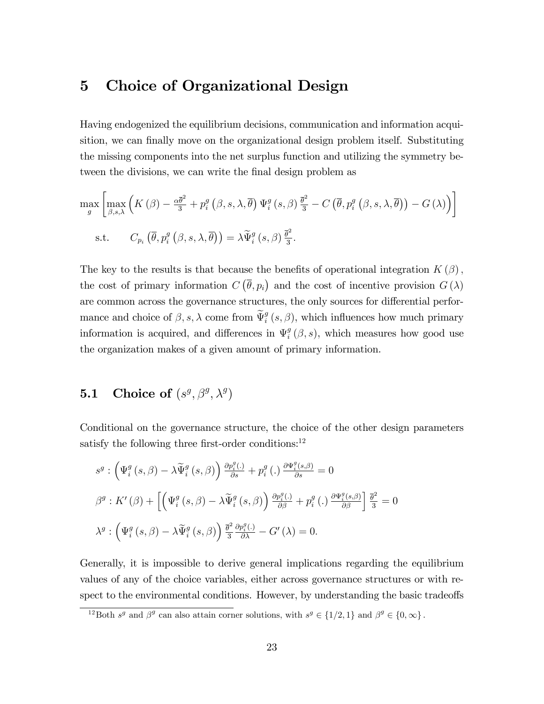### 5 Choice of Organizational Design

Having endogenized the equilibrium decisions, communication and information acquisition, we can finally move on the organizational design problem itself. Substituting the missing components into the net surplus function and utilizing the symmetry between the divisions, we can write the final design problem as

$$
\max_{g} \left[ \max_{\beta,s,\lambda} \left( K(\beta) - \frac{\alpha \overline{\theta}^2}{3} + p_i^g \left( \beta, s, \lambda, \overline{\theta} \right) \Psi_i^g \left( s, \beta \right) \frac{\overline{\theta}^2}{3} - C \left( \overline{\theta}, p_i^g \left( \beta, s, \lambda, \overline{\theta} \right) \right) - G(\lambda) \right) \right]
$$
  
s.t.  $C_{p_i} \left( \overline{\theta}, p_i^g \left( \beta, s, \lambda, \overline{\theta} \right) \right) = \lambda \widetilde{\Psi}_i^g \left( s, \beta \right) \frac{\overline{\theta}^2}{3}.$ 

The key to the results is that because the benefits of operational integration  $K(\beta)$ , the cost of primary information  $C(\overline{\theta}, p_i)$  and the cost of incentive provision  $G(\lambda)$ are common across the governance structures, the only sources for differential performance and choice of  $\beta$ , s,  $\lambda$  come from  $\widetilde{\Psi}_i^g$   $(s, \beta)$ , which influences how much primary information is acquired, and differences in  $\Psi_i^g$  $_{i}^{g}(\beta,s)$ , which measures how good use the organization makes of a given amount of primary information.

### **5.1** Choice of  $(s^g, \beta^g, \lambda^g)$

Conditional on the governance structure, the choice of the other design parameters satisfy the following three first-order conditions: $^{12}$ 

$$
s^{g}: \left(\Psi_{i}^{g}(s,\beta) - \lambda \widetilde{\Psi}_{i}^{g}(s,\beta)\right) \frac{\partial p_{i}^{g}(s,\beta)}{\partial s} + p_{i}^{g}(s,\beta) \frac{\partial \Psi_{i}^{g}(s,\beta)}{\partial s} = 0
$$
  

$$
\beta^{g}: K'(\beta) + \left[\left(\Psi_{i}^{g}(s,\beta) - \lambda \widetilde{\Psi}_{i}^{g}(s,\beta)\right) \frac{\partial p_{i}^{g}(s,\beta)}{\partial \beta} + p_{i}^{g}(s,\beta) \frac{\partial \Psi_{i}^{g}(s,\beta)}{\partial \beta}\right] \frac{\overline{\theta}^{2}}{3} = 0
$$
  

$$
\lambda^{g}: \left(\Psi_{i}^{g}(s,\beta) - \lambda \widetilde{\Psi}_{i}^{g}(s,\beta)\right) \frac{\overline{\theta}^{2}}{3} \frac{\partial p_{i}^{g}(s,\beta)}{\partial \lambda} - G'(\lambda) = 0.
$$

Generally, it is impossible to derive general implications regarding the equilibrium values of any of the choice variables, either across governance structures or with respect to the environmental conditions. However, by understanding the basic tradeoffs

<sup>&</sup>lt;sup>12</sup>Both  $s^g$  and  $\beta^g$  can also attain corner solutions, with  $s^g \in \{1/2, 1\}$  and  $\beta^g \in \{0, \infty\}$ .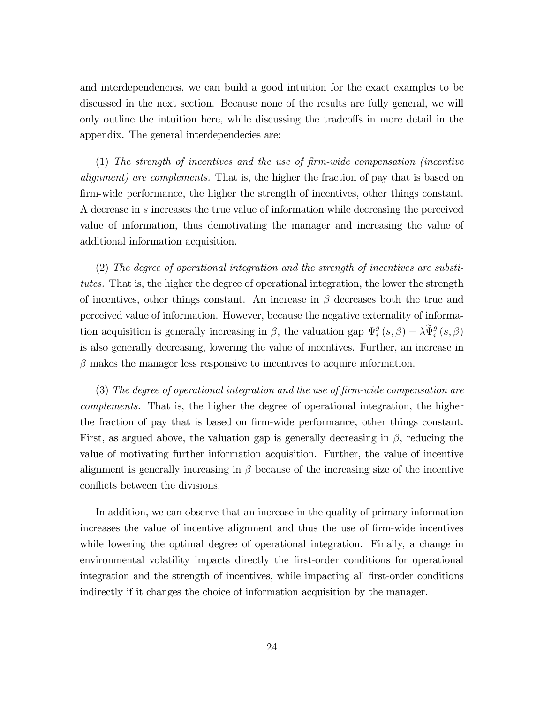and interdependencies, we can build a good intuition for the exact examples to be discussed in the next section. Because none of the results are fully general, we will only outline the intuition here, while discussing the tradeoffs in more detail in the appendix. The general interdependecies are:

 $(1)$  The strength of incentives and the use of firm-wide compensation (incentive alignment) are complements. That is, the higher the fraction of pay that is based on firm-wide performance, the higher the strength of incentives, other things constant. A decrease in s increases the true value of information while decreasing the perceived value of information, thus demotivating the manager and increasing the value of additional information acquisition.

(2) The degree of operational integration and the strength of incentives are substitutes. That is, the higher the degree of operational integration, the lower the strength of incentives, other things constant. An increase in  $\beta$  decreases both the true and perceived value of information. However, because the negative externality of information acquisition is generally increasing in  $\beta$ , the valuation gap  $\Psi_i^g$  $\begin{aligned} \mathcal{G}_i^g \left(s, \beta \right) - \lambda \widetilde{\Psi}_i^g \left(s, \beta \right) \end{aligned}$ is also generally decreasing, lowering the value of incentives. Further, an increase in  $\beta$  makes the manager less responsive to incentives to acquire information.

 $(3)$  The degree of operational integration and the use of firm-wide compensation are complements. That is, the higher the degree of operational integration, the higher the fraction of pay that is based on firm-wide performance, other things constant. First, as argued above, the valuation gap is generally decreasing in  $\beta$ , reducing the value of motivating further information acquisition. Further, the value of incentive alignment is generally increasing in  $\beta$  because of the increasing size of the incentive conflicts between the divisions.

In addition, we can observe that an increase in the quality of primary information increases the value of incentive alignment and thus the use of Örm-wide incentives while lowering the optimal degree of operational integration. Finally, a change in environmental volatility impacts directly the first-order conditions for operational integration and the strength of incentives, while impacting all first-order conditions indirectly if it changes the choice of information acquisition by the manager.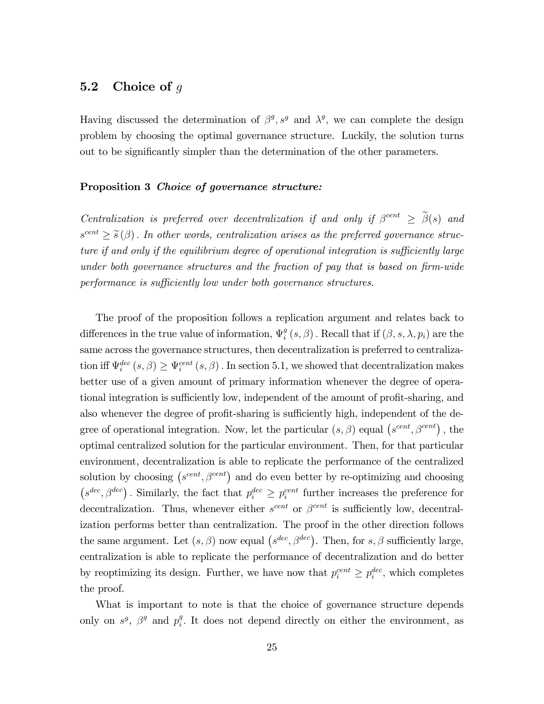#### 5.2 Choice of  $q$

Having discussed the determination of  $\beta^g$ ,  $s^g$  and  $\lambda^g$ , we can complete the design problem by choosing the optimal governance structure. Luckily, the solution turns out to be significantly simpler than the determination of the other parameters.

#### Proposition 3 Choice of governance structure:

Centralization is preferred over decentralization if and only if  $\beta^{cent} \geq \tilde{\beta}(s)$  and  $s^{cent} \geq \tilde{s}(\beta)$ . In other words, centralization arises as the preferred governance structure if and only if the equilibrium degree of operational integration is sufficiently large under both governance structures and the fraction of pay that is based on  $\lim$ -wide performance is sufficiently low under both governance structures.

The proof of the proposition follows a replication argument and relates back to differences in the true value of information,  $\Psi_i^g$  $i_s^g\left(s,\beta\right)$  . Recall that if  $(\beta,s,\lambda,p_i)$  are the same across the governance structures, then decentralization is preferred to centralization iff  $\Psi_i^{dec}(s, \beta) \ge \Psi_i^{cent}(s, \beta)$ . In section 5.1, we showed that decentralization makes better use of a given amount of primary information whenever the degree of operational integration is sufficiently low, independent of the amount of profit-sharing, and also whenever the degree of profit-sharing is sufficiently high, independent of the degree of operational integration. Now, let the particular  $(s, \beta)$  equal  $(s^{cent}, \beta^{cent})$ , the optimal centralized solution for the particular environment. Then, for that particular environment, decentralization is able to replicate the performance of the centralized solution by choosing  $(s^{cent}, \beta^{cent})$  and do even better by re-optimizing and choosing  $(s^{dec}, \beta^{dec})$ . Similarly, the fact that  $p_i^{dec} \geq p_i^{cent}$  further increases the preference for decentralization. Thus, whenever either  $s^{cent}$  or  $\beta^{cent}$  is sufficiently low, decentralization performs better than centralization. The proof in the other direction follows the same argument. Let  $(s, \beta)$  now equal  $(s^{dec}, \beta^{dec})$ . Then, for s,  $\beta$  sufficiently large, centralization is able to replicate the performance of decentralization and do better by reoptimizing its design. Further, we have now that  $p_i^{cent} \geq p_i^{dec}$ , which completes the proof.

What is important to note is that the choice of governance structure depends only on  $s^g$ ,  $\beta^g$  and  $p_i^g$  $i<sup>g</sup>$ . It does not depend directly on either the environment, as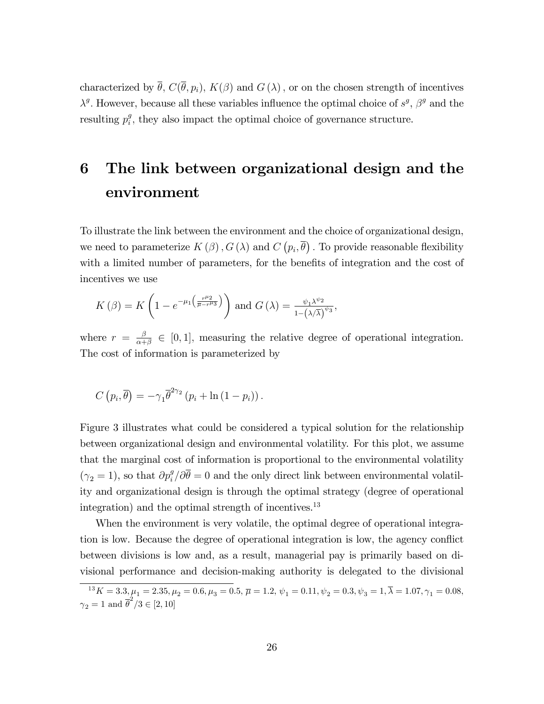characterized by  $\bar{\theta}$ ,  $C(\bar{\theta}, p_i)$ ,  $K(\beta)$  and  $G(\lambda)$ , or on the chosen strength of incentives  $\lambda^g$ . However, because all these variables influence the optimal choice of  $s^g$ ,  $\beta^g$  and the  $\text{resulting } p_i^g$  $\frac{g}{i}$ , they also impact the optimal choice of governance structure.

# 6 The link between organizational design and the environment

To illustrate the link between the environment and the choice of organizational design, we need to parameterize  $K(\beta)$ ,  $G(\lambda)$  and  $C(p_i, \overline{\theta})$ . To provide reasonable flexibility with a limited number of parameters, for the benefits of integration and the cost of incentives we use

$$
K(\beta) = K\left(1 - e^{-\mu_1\left(\frac{r^{\mu_2}}{\overline{\mu} - r^{\mu_3}}\right)}\right) \text{ and } G(\lambda) = \frac{\psi_1 \lambda^{\psi_2}}{1 - (\lambda/\overline{\lambda})^{\psi_3}},
$$

where  $r = \frac{\beta}{\alpha + \beta}$  $\frac{\beta}{\alpha+\beta} \in [0,1]$ , measuring the relative degree of operational integration. The cost of information is parameterized by

$$
C(p_i, \overline{\theta}) = -\gamma_1 \overline{\theta}^{2\gamma_2} (p_i + \ln(1-p_i)).
$$

Figure 3 illustrates what could be considered a typical solution for the relationship between organizational design and environmental volatility. For this plot, we assume that the marginal cost of information is proportional to the environmental volatility  $(\gamma_2 = 1)$ , so that  $\partial p_i^g / \partial \overline{\theta} = 0$  and the only direct link between environmental volatility and organizational design is through the optimal strategy (degree of operational integration) and the optimal strength of incentives.<sup>13</sup>

When the environment is very volatile, the optimal degree of operational integration is low. Because the degree of operational integration is low, the agency conflict between divisions is low and, as a result, managerial pay is primarily based on divisional performance and decision-making authority is delegated to the divisional

 $\overline{P_{13}^{13}K=3.3, \mu_{1}=2.35, \mu_{2}=0.6, \mu_{3}=0.5, \, \overline{\mu}=1.2, \, \psi_{1}=0.11, \psi_{2}=0.3, \psi_{3}=1, \overline{\lambda}=1.07, \gamma_{1}=0.08, \eta_{2}=0.08, \eta_{3}=0.08, \eta_{4}=0.08, \eta_{5}=0.08, \eta_{6}=0.08, \eta_{7}=0.08, \eta_{8}=0.08, \eta_{9}=0.08, \eta_{10}=0.08, \eta_{11}=0.08, \eta_{12}=0.08$  $\gamma_2 = 1$  and  $\overline{\theta}^2/3 \in [2, 10]$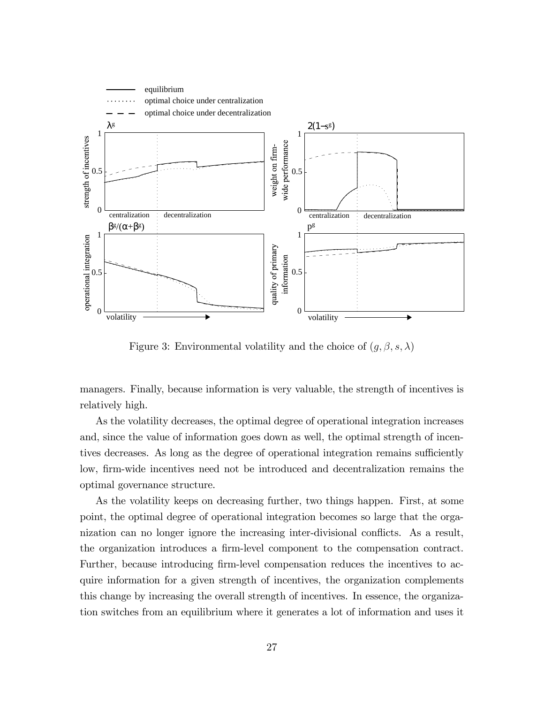

Figure 3: Environmental volatility and the choice of  $(g, \beta, s, \lambda)$ 

managers. Finally, because information is very valuable, the strength of incentives is relatively high.

As the volatility decreases, the optimal degree of operational integration increases and, since the value of information goes down as well, the optimal strength of incentives decreases. As long as the degree of operational integration remains sufficiently low, firm-wide incentives need not be introduced and decentralization remains the optimal governance structure.

As the volatility keeps on decreasing further, two things happen. First, at some point, the optimal degree of operational integration becomes so large that the organization can no longer ignore the increasing inter-divisional conflicts. As a result, the organization introduces a firm-level component to the compensation contract. Further, because introducing firm-level compensation reduces the incentives to acquire information for a given strength of incentives, the organization complements this change by increasing the overall strength of incentives. In essence, the organization switches from an equilibrium where it generates a lot of information and uses it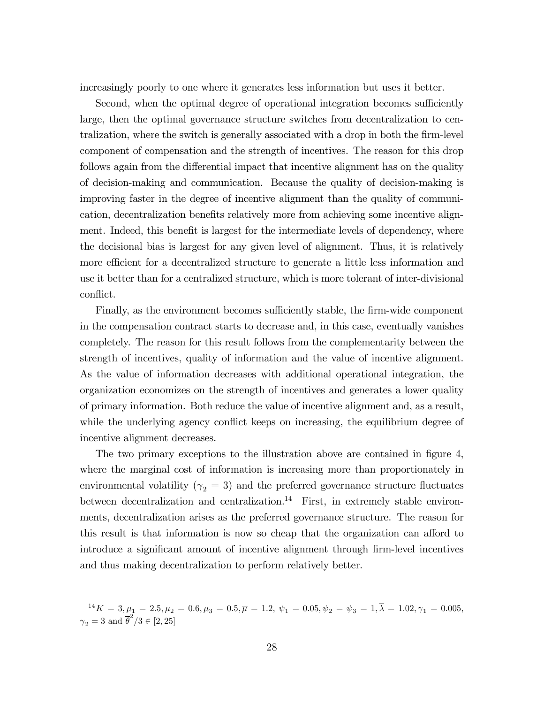increasingly poorly to one where it generates less information but uses it better.

Second, when the optimal degree of operational integration becomes sufficiently large, then the optimal governance structure switches from decentralization to centralization, where the switch is generally associated with a drop in both the firm-level component of compensation and the strength of incentives. The reason for this drop follows again from the differential impact that incentive alignment has on the quality of decision-making and communication. Because the quality of decision-making is improving faster in the degree of incentive alignment than the quality of communication, decentralization benefits relatively more from achieving some incentive alignment. Indeed, this benefit is largest for the intermediate levels of dependency, where the decisional bias is largest for any given level of alignment. Thus, it is relatively more efficient for a decentralized structure to generate a little less information and use it better than for a centralized structure, which is more tolerant of inter-divisional conflict.

Finally, as the environment becomes sufficiently stable, the firm-wide component in the compensation contract starts to decrease and, in this case, eventually vanishes completely. The reason for this result follows from the complementarity between the strength of incentives, quality of information and the value of incentive alignment. As the value of information decreases with additional operational integration, the organization economizes on the strength of incentives and generates a lower quality of primary information. Both reduce the value of incentive alignment and, as a result, while the underlying agency conflict keeps on increasing, the equilibrium degree of incentive alignment decreases.

The two primary exceptions to the illustration above are contained in figure 4, where the marginal cost of information is increasing more than proportionately in environmental volatility ( $\gamma_2 = 3$ ) and the preferred governance structure fluctuates between decentralization and centralization.<sup>14</sup> First, in extremely stable environments, decentralization arises as the preferred governance structure. The reason for this result is that information is now so cheap that the organization can afford to introduce a significant amount of incentive alignment through firm-level incentives and thus making decentralization to perform relatively better.

 $\overline{A}^{14}K = 3, \mu_1 = 2.5, \mu_2 = 0.6, \mu_3 = 0.5, \overline{\mu} = 1.2, \psi_1 = 0.05, \psi_2 = \psi_3 = 1, \overline{\lambda} = 1.02, \gamma_1 = 0.005,$  $\gamma_2 = 3$  and  $\overline{\theta}^2/3 \in [2, 25]$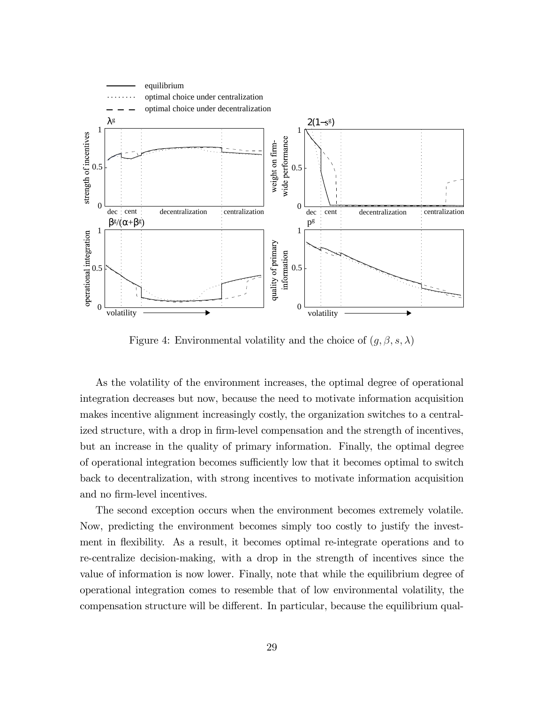

Figure 4: Environmental volatility and the choice of  $(g, \beta, s, \lambda)$ 

As the volatility of the environment increases, the optimal degree of operational integration decreases but now, because the need to motivate information acquisition makes incentive alignment increasingly costly, the organization switches to a centralized structure, with a drop in firm-level compensation and the strength of incentives, but an increase in the quality of primary information. Finally, the optimal degree of operational integration becomes sufficiently low that it becomes optimal to switch back to decentralization, with strong incentives to motivate information acquisition and no firm-level incentives.

The second exception occurs when the environment becomes extremely volatile. Now, predicting the environment becomes simply too costly to justify the investment in flexibility. As a result, it becomes optimal re-integrate operations and to re-centralize decision-making, with a drop in the strength of incentives since the value of information is now lower. Finally, note that while the equilibrium degree of operational integration comes to resemble that of low environmental volatility, the compensation structure will be different. In particular, because the equilibrium qual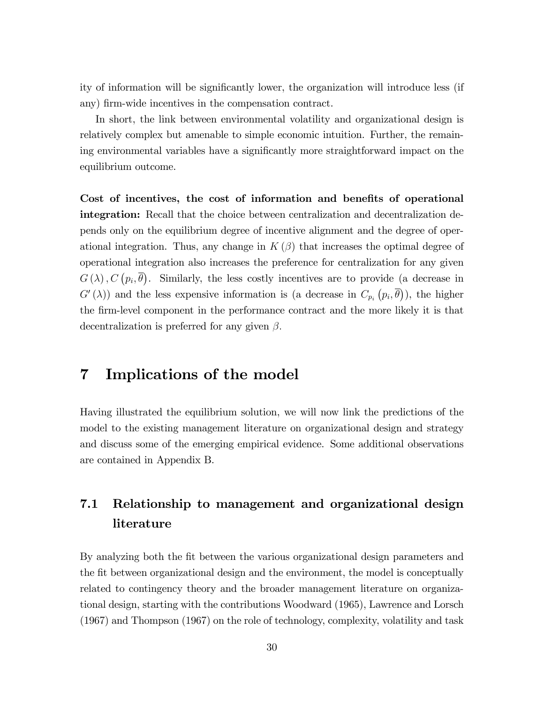ity of information will be significantly lower, the organization will introduce less (if any) firm-wide incentives in the compensation contract.

In short, the link between environmental volatility and organizational design is relatively complex but amenable to simple economic intuition. Further, the remaining environmental variables have a significantly more straightforward impact on the equilibrium outcome.

Cost of incentives, the cost of information and benefits of operational integration: Recall that the choice between centralization and decentralization depends only on the equilibrium degree of incentive alignment and the degree of operational integration. Thus, any change in  $K(\beta)$  that increases the optimal degree of operational integration also increases the preference for centralization for any given  $G(\lambda), C(p_i, \overline{\theta})$ . Similarly, the less costly incentives are to provide (a decrease in  $G'(\lambda)$  and the less expensive information is (a decrease in  $C_{p_i}(p_i,\overline{\theta})$ ), the higher the firm-level component in the performance contract and the more likely it is that decentralization is preferred for any given  $\beta$ .

### 7 Implications of the model

Having illustrated the equilibrium solution, we will now link the predictions of the model to the existing management literature on organizational design and strategy and discuss some of the emerging empirical evidence. Some additional observations are contained in Appendix B.

### 7.1 Relationship to management and organizational design literature

By analyzing both the fit between the various organizational design parameters and the fit between organizational design and the environment, the model is conceptually related to contingency theory and the broader management literature on organizational design, starting with the contributions Woodward (1965), Lawrence and Lorsch (1967) and Thompson (1967) on the role of technology, complexity, volatility and task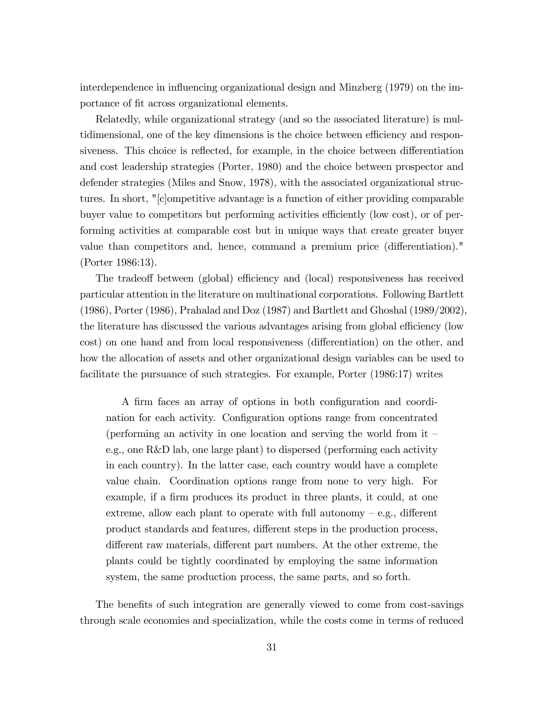interdependence in influencing organizational design and Minzberg (1979) on the importance of fit across organizational elements.

Relatedly, while organizational strategy (and so the associated literature) is multidimensional, one of the key dimensions is the choice between efficiency and responsiveness. This choice is reflected, for example, in the choice between differentiation and cost leadership strategies (Porter, 1980) and the choice between prospector and defender strategies (Miles and Snow, 1978), with the associated organizational structures. In short, "[c]ompetitive advantage is a function of either providing comparable buyer value to competitors but performing activities efficiently (low cost), or of performing activities at comparable cost but in unique ways that create greater buyer value than competitors and, hence, command a premium price (differentiation)." (Porter 1986:13).

The tradeoff between (global) efficiency and (local) responsiveness has received particular attention in the literature on multinational corporations. Following Bartlett (1986), Porter (1986), Prahalad and Doz (1987) and Bartlett and Ghoshal (1989/2002), the literature has discussed the various advantages arising from global efficiency (low cost) on one hand and from local responsiveness (differentiation) on the other, and how the allocation of assets and other organizational design variables can be used to facilitate the pursuance of such strategies. For example, Porter (1986:17) writes

A firm faces an array of options in both configuration and coordination for each activity. Configuration options range from concentrated (performing an activity in one location and serving the world from it  $\overline{\phantom{a}}$ e.g., one R&D lab, one large plant) to dispersed (performing each activity in each country). In the latter case, each country would have a complete value chain. Coordination options range from none to very high. For example, if a firm produces its product in three plants, it could, at one extreme, allow each plant to operate with full autonomy  $-e.g.,$  different product standards and features, different steps in the production process, different raw materials, different part numbers. At the other extreme, the plants could be tightly coordinated by employing the same information system, the same production process, the same parts, and so forth.

The benefits of such integration are generally viewed to come from cost-savings through scale economies and specialization, while the costs come in terms of reduced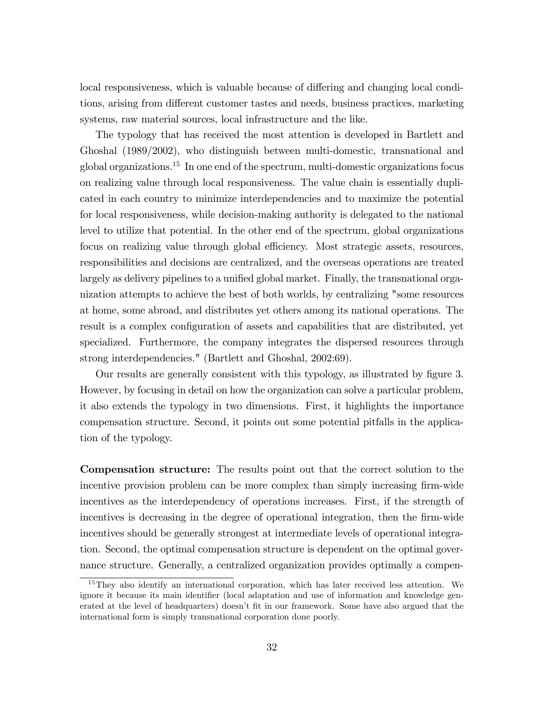local responsiveness, which is valuable because of differing and changing local conditions, arising from different customer tastes and needs, business practices, marketing systems, raw material sources, local infrastructure and the like.

The typology that has received the most attention is developed in Bartlett and Ghoshal (1989/2002), who distinguish between multi-domestic, transnational and global organizations.<sup>15</sup> In one end of the spectrum, multi-domestic organizations focus on realizing value through local responsiveness. The value chain is essentially duplicated in each country to minimize interdependencies and to maximize the potential for local responsiveness, while decision-making authority is delegated to the national level to utilize that potential. In the other end of the spectrum, global organizations focus on realizing value through global efficiency. Most strategic assets, resources, responsibilities and decisions are centralized, and the overseas operations are treated largely as delivery pipelines to a unified global market. Finally, the transnational organization attempts to achieve the best of both worlds, by centralizing "some resources at home, some abroad, and distributes yet others among its national operations. The result is a complex configuration of assets and capabilities that are distributed, yet specialized. Furthermore, the company integrates the dispersed resources through strong interdependencies." (Bartlett and Ghoshal, 2002:69).

Our results are generally consistent with this typology, as illustrated by figure 3. However, by focusing in detail on how the organization can solve a particular problem, it also extends the typology in two dimensions. First, it highlights the importance compensation structure. Second, it points out some potential pitfalls in the application of the typology.

Compensation structure: The results point out that the correct solution to the incentive provision problem can be more complex than simply increasing firm-wide incentives as the interdependency of operations increases. First, if the strength of incentives is decreasing in the degree of operational integration, then the firm-wide incentives should be generally strongest at intermediate levels of operational integration. Second, the optimal compensation structure is dependent on the optimal governance structure. Generally, a centralized organization provides optimally a compen-

<sup>&</sup>lt;sup>15</sup>They also identify an international corporation, which has later received less attention. We ignore it because its main identifier (local adaptation and use of information and knowledge generated at the level of headquarters) doesn't fit in our framework. Some have also argued that the international form is simply transnational corporation done poorly.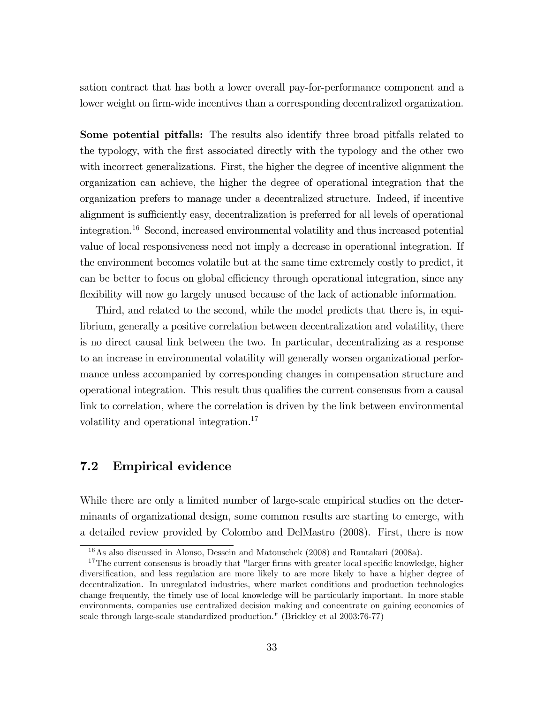sation contract that has both a lower overall pay-for-performance component and a lower weight on firm-wide incentives than a corresponding decentralized organization.

Some potential pitfalls: The results also identify three broad pitfalls related to the typology, with the first associated directly with the typology and the other two with incorrect generalizations. First, the higher the degree of incentive alignment the organization can achieve, the higher the degree of operational integration that the organization prefers to manage under a decentralized structure. Indeed, if incentive alignment is sufficiently easy, decentralization is preferred for all levels of operational integration.<sup>16</sup> Second, increased environmental volatility and thus increased potential value of local responsiveness need not imply a decrease in operational integration. If the environment becomes volatile but at the same time extremely costly to predict, it can be better to focus on global efficiency through operational integration, since any flexibility will now go largely unused because of the lack of actionable information.

Third, and related to the second, while the model predicts that there is, in equilibrium, generally a positive correlation between decentralization and volatility, there is no direct causal link between the two. In particular, decentralizing as a response to an increase in environmental volatility will generally worsen organizational performance unless accompanied by corresponding changes in compensation structure and operational integration. This result thus qualifies the current consensus from a causal link to correlation, where the correlation is driven by the link between environmental volatility and operational integration.<sup>17</sup>

#### 7.2 Empirical evidence

While there are only a limited number of large-scale empirical studies on the determinants of organizational design, some common results are starting to emerge, with a detailed review provided by Colombo and DelMastro (2008). First, there is now

<sup>16</sup>As also discussed in Alonso, Dessein and Matouschek (2008) and Rantakari (2008a).

<sup>&</sup>lt;sup>17</sup>The current consensus is broadly that "larger firms with greater local specific knowledge, higher diversification, and less regulation are more likely to are more likely to have a higher degree of decentralization. In unregulated industries, where market conditions and production technologies change frequently, the timely use of local knowledge will be particularly important. In more stable environments, companies use centralized decision making and concentrate on gaining economies of scale through large-scale standardized production." (Brickley et al 2003:76-77)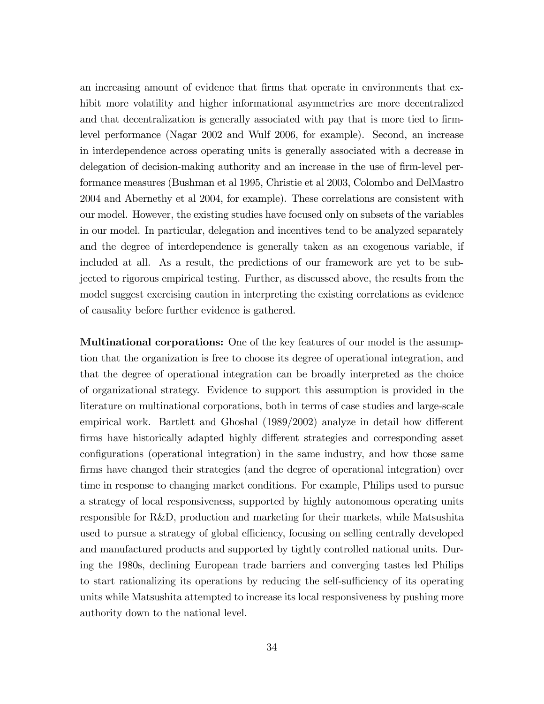an increasing amount of evidence that firms that operate in environments that exhibit more volatility and higher informational asymmetries are more decentralized and that decentralization is generally associated with pay that is more tied to firmlevel performance (Nagar 2002 and Wulf 2006, for example). Second, an increase in interdependence across operating units is generally associated with a decrease in delegation of decision-making authority and an increase in the use of firm-level performance measures (Bushman et al 1995, Christie et al 2003, Colombo and DelMastro 2004 and Abernethy et al 2004, for example). These correlations are consistent with our model. However, the existing studies have focused only on subsets of the variables in our model. In particular, delegation and incentives tend to be analyzed separately and the degree of interdependence is generally taken as an exogenous variable, if included at all. As a result, the predictions of our framework are yet to be subjected to rigorous empirical testing. Further, as discussed above, the results from the model suggest exercising caution in interpreting the existing correlations as evidence of causality before further evidence is gathered.

Multinational corporations: One of the key features of our model is the assumption that the organization is free to choose its degree of operational integration, and that the degree of operational integration can be broadly interpreted as the choice of organizational strategy. Evidence to support this assumption is provided in the literature on multinational corporations, both in terms of case studies and large-scale empirical work. Bartlett and Ghoshal  $(1989/2002)$  analyze in detail how different firms have historically adapted highly different strategies and corresponding asset configurations (operational integration) in the same industry, and how those same firms have changed their strategies (and the degree of operational integration) over time in response to changing market conditions. For example, Philips used to pursue a strategy of local responsiveness, supported by highly autonomous operating units responsible for R&D, production and marketing for their markets, while Matsushita used to pursue a strategy of global efficiency, focusing on selling centrally developed and manufactured products and supported by tightly controlled national units. During the 1980s, declining European trade barriers and converging tastes led Philips to start rationalizing its operations by reducing the self-sufficiency of its operating units while Matsushita attempted to increase its local responsiveness by pushing more authority down to the national level.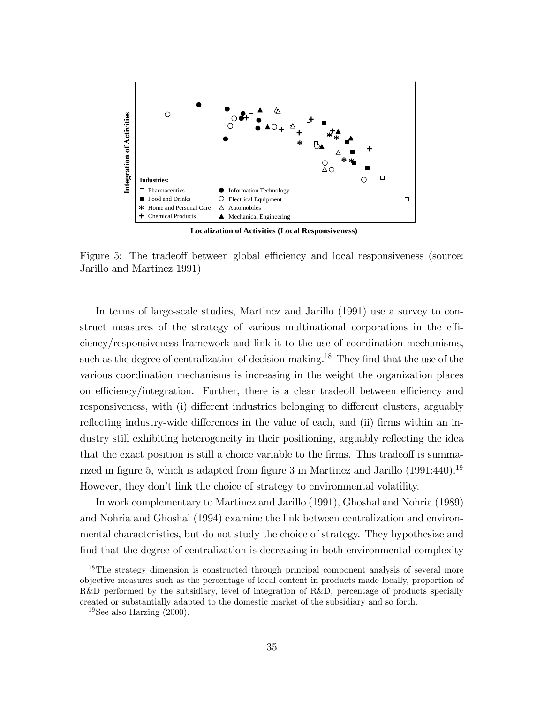

**Localization of Activities (Local Responsiveness)**

Figure 5: The tradeoff between global efficiency and local responsiveness (source: Jarillo and Martinez 1991)

In terms of large-scale studies, Martinez and Jarillo (1991) use a survey to construct measures of the strategy of various multinational corporations in the efficiency/responsiveness framework and link it to the use of coordination mechanisms, such as the degree of centralization of decision-making.<sup>18</sup> They find that the use of the various coordination mechanisms is increasing in the weight the organization places on efficiency/integration. Further, there is a clear tradeoff between efficiency and responsiveness, with (i) different industries belonging to different clusters, arguably reflecting industry-wide differences in the value of each, and (ii) firms within an industry still exhibiting heterogeneity in their positioning, arguably reflecting the idea that the exact position is still a choice variable to the firms. This tradeoff is summarized in figure 5, which is adapted from figure 3 in Martinez and Jarillo  $(1991:440).<sup>19</sup>$ However, they donít link the choice of strategy to environmental volatility.

In work complementary to Martinez and Jarillo (1991), Ghoshal and Nohria (1989) and Nohria and Ghoshal (1994) examine the link between centralization and environmental characteristics, but do not study the choice of strategy. They hypothesize and find that the degree of centralization is decreasing in both environmental complexity

<sup>&</sup>lt;sup>18</sup>The strategy dimension is constructed through principal component analysis of several more objective measures such as the percentage of local content in products made locally, proportion of R&D performed by the subsidiary, level of integration of R&D, percentage of products specially created or substantially adapted to the domestic market of the subsidiary and so forth.

 $19$ See also Harzing (2000).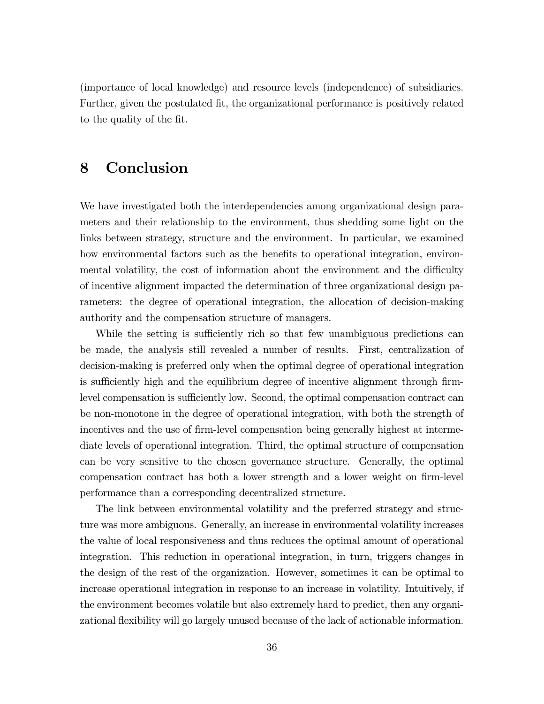(importance of local knowledge) and resource levels (independence) of subsidiaries. Further, given the postulated fit, the organizational performance is positively related to the quality of the fit.

### 8 Conclusion

We have investigated both the interdependencies among organizational design parameters and their relationship to the environment, thus shedding some light on the links between strategy, structure and the environment. In particular, we examined how environmental factors such as the benefits to operational integration, environmental volatility, the cost of information about the environment and the difficulty of incentive alignment impacted the determination of three organizational design parameters: the degree of operational integration, the allocation of decision-making authority and the compensation structure of managers.

While the setting is sufficiently rich so that few unambiguous predictions can be made, the analysis still revealed a number of results. First, centralization of decision-making is preferred only when the optimal degree of operational integration is sufficiently high and the equilibrium degree of incentive alignment through firmlevel compensation is sufficiently low. Second, the optimal compensation contract can be non-monotone in the degree of operational integration, with both the strength of incentives and the use of firm-level compensation being generally highest at intermediate levels of operational integration. Third, the optimal structure of compensation can be very sensitive to the chosen governance structure. Generally, the optimal compensation contract has both a lower strength and a lower weight on firm-level performance than a corresponding decentralized structure.

The link between environmental volatility and the preferred strategy and structure was more ambiguous. Generally, an increase in environmental volatility increases the value of local responsiveness and thus reduces the optimal amount of operational integration. This reduction in operational integration, in turn, triggers changes in the design of the rest of the organization. However, sometimes it can be optimal to increase operational integration in response to an increase in volatility. Intuitively, if the environment becomes volatile but also extremely hard to predict, then any organizational flexibility will go largely unused because of the lack of actionable information.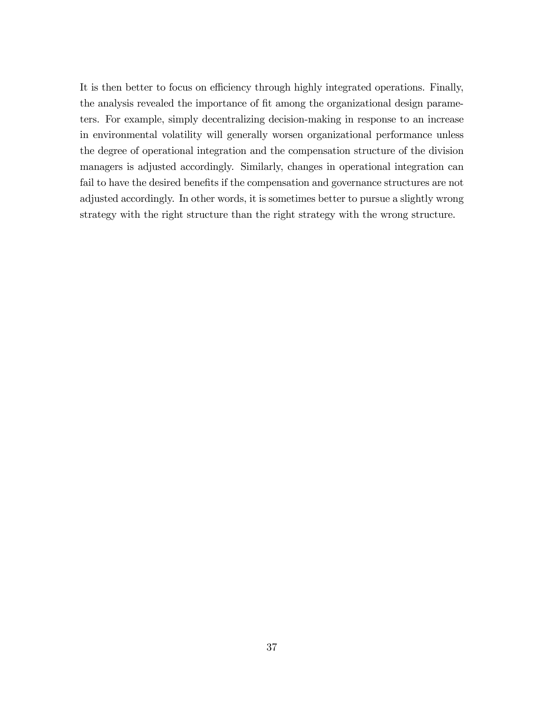It is then better to focus on efficiency through highly integrated operations. Finally, the analysis revealed the importance of fit among the organizational design parameters. For example, simply decentralizing decision-making in response to an increase in environmental volatility will generally worsen organizational performance unless the degree of operational integration and the compensation structure of the division managers is adjusted accordingly. Similarly, changes in operational integration can fail to have the desired benefits if the compensation and governance structures are not adjusted accordingly. In other words, it is sometimes better to pursue a slightly wrong strategy with the right structure than the right strategy with the wrong structure.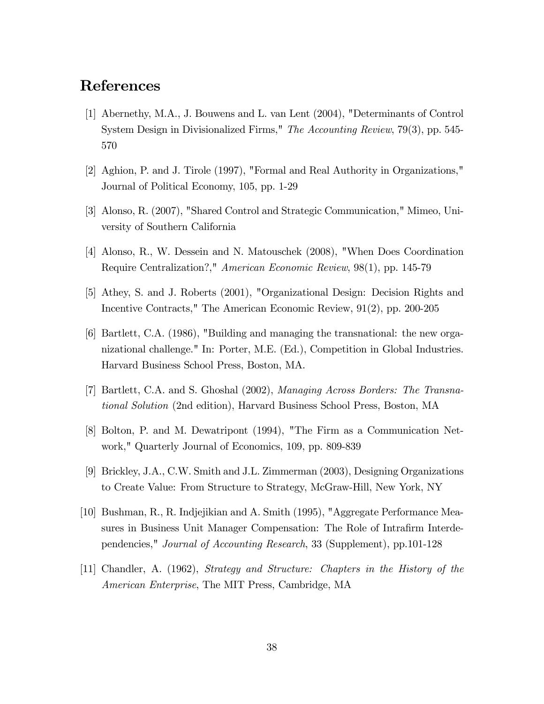### References

- [1] Abernethy, M.A., J. Bouwens and L. van Lent (2004), "Determinants of Control System Design in Divisionalized Firms," The Accounting Review, 79(3), pp. 545- 570
- [2] Aghion, P. and J. Tirole (1997), "Formal and Real Authority in Organizations," Journal of Political Economy, 105, pp. 1-29
- [3] Alonso, R. (2007), "Shared Control and Strategic Communication," Mimeo, University of Southern California
- [4] Alonso, R., W. Dessein and N. Matouschek (2008), "When Does Coordination Require Centralization?," American Economic Review, 98(1), pp. 145-79
- [5] Athey, S. and J. Roberts (2001), "Organizational Design: Decision Rights and Incentive Contracts," The American Economic Review, 91(2), pp. 200-205
- [6] Bartlett, C.A. (1986), "Building and managing the transnational: the new organizational challenge." In: Porter, M.E. (Ed.), Competition in Global Industries. Harvard Business School Press, Boston, MA.
- [7] Bartlett, C.A. and S. Ghoshal (2002), Managing Across Borders: The Transnational Solution (2nd edition), Harvard Business School Press, Boston, MA
- [8] Bolton, P. and M. Dewatripont (1994), "The Firm as a Communication Network," Quarterly Journal of Economics, 109, pp. 809-839
- [9] Brickley, J.A., C.W. Smith and J.L. Zimmerman (2003), Designing Organizations to Create Value: From Structure to Strategy, McGraw-Hill, New York, NY
- [10] Bushman, R., R. Indjejikian and A. Smith (1995), "Aggregate Performance Measures in Business Unit Manager Compensation: The Role of Intrafirm Interdependencies," Journal of Accounting Research, 33 (Supplement), pp.101-128
- [11] Chandler, A. (1962), Strategy and Structure: Chapters in the History of the American Enterprise, The MIT Press, Cambridge, MA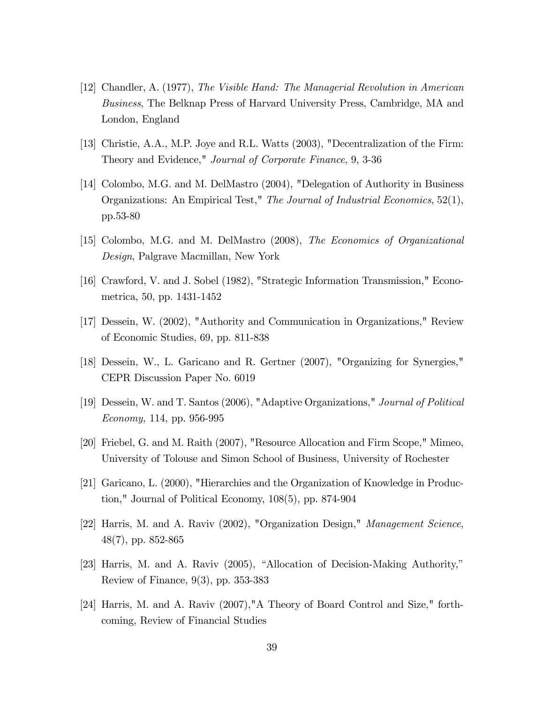- [12] Chandler, A. (1977), The Visible Hand: The Managerial Revolution in American Business, The Belknap Press of Harvard University Press, Cambridge, MA and London, England
- [13] Christie, A.A., M.P. Joye and R.L. Watts (2003), "Decentralization of the Firm: Theory and Evidence," Journal of Corporate Finance, 9, 3-36
- [14] Colombo, M.G. and M. DelMastro (2004), "Delegation of Authority in Business Organizations: An Empirical Test," The Journal of Industrial Economics, 52(1), pp.53-80
- [15] Colombo, M.G. and M. DelMastro (2008), The Economics of Organizational Design, Palgrave Macmillan, New York
- [16] Crawford, V. and J. Sobel (1982), "Strategic Information Transmission," Econometrica, 50, pp. 1431-1452
- [17] Dessein, W. (2002), "Authority and Communication in Organizations," Review of Economic Studies, 69, pp. 811-838
- [18] Dessein, W., L. Garicano and R. Gertner (2007), "Organizing for Synergies," CEPR Discussion Paper No. 6019
- [19] Dessein, W. and T. Santos (2006), "Adaptive Organizations," Journal of Political Economy, 114, pp. 956-995
- [20] Friebel, G. and M. Raith (2007), "Resource Allocation and Firm Scope," Mimeo, University of Tolouse and Simon School of Business, University of Rochester
- [21] Garicano, L. (2000), "Hierarchies and the Organization of Knowledge in Production," Journal of Political Economy, 108(5), pp. 874-904
- [22] Harris, M. and A. Raviv (2002), "Organization Design," Management Science, 48(7), pp. 852-865
- $[23]$  Harris, M. and A. Raviv  $(2005)$ , "Allocation of Decision-Making Authority," Review of Finance, 9(3), pp. 353-383
- [24] Harris, M. and A. Raviv (2007),"A Theory of Board Control and Size," forthcoming, Review of Financial Studies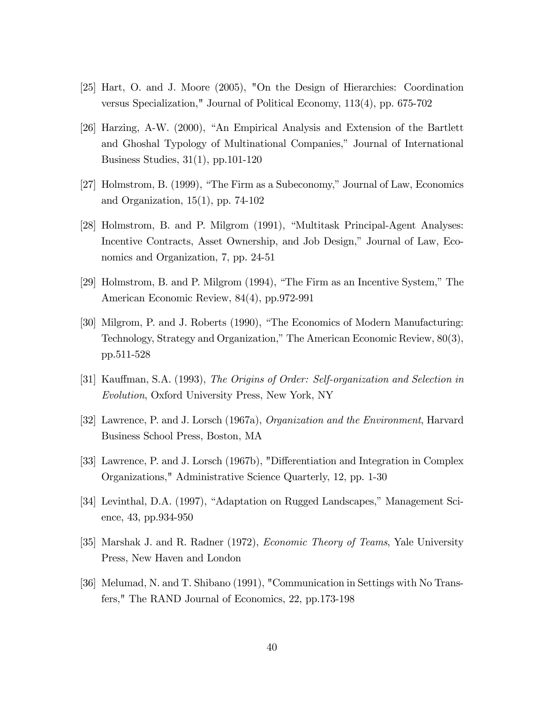- [25] Hart, O. and J. Moore (2005), "On the Design of Hierarchies: Coordination versus Specialization," Journal of Political Economy, 113(4), pp. 675-702
- $[26]$  Harzing, A-W. (2000), "An Empirical Analysis and Extension of the Bartlett and Ghoshal Typology of Multinational Companies," Journal of International Business Studies, 31(1), pp.101-120
- [27] Holmstrom, B.  $(1999)$ , "The Firm as a Subeconomy," Journal of Law, Economics and Organization, 15(1), pp. 74-102
- [28] Holmstrom, B. and P. Milgrom (1991), "Multitask Principal-Agent Analyses: Incentive Contracts, Asset Ownership, and Job Design," Journal of Law, Economics and Organization, 7, pp. 24-51
- [29] Holmstrom, B. and P. Milgrom  $(1994)$ , "The Firm as an Incentive System," The American Economic Review, 84(4), pp.972-991
- [30] Milgrom, P. and J. Roberts (1990), "The Economics of Modern Manufacturing: Technology, Strategy and Organization," The American Economic Review,  $80(3)$ , pp.511-528
- [31] Kauffman, S.A. (1993), The Origins of Order: Self-organization and Selection in Evolution, Oxford University Press, New York, NY
- [32] Lawrence, P. and J. Lorsch (1967a), Organization and the Environment, Harvard Business School Press, Boston, MA
- [33] Lawrence, P. and J. Lorsch (1967b), "Differentiation and Integration in Complex Organizations," Administrative Science Quarterly, 12, pp. 1-30
- [34] Levinthal, D.A. (1997), "Adaptation on Rugged Landscapes," Management Science, 43, pp.934-950
- [35] Marshak J. and R. Radner (1972), Economic Theory of Teams, Yale University Press, New Haven and London
- [36] Melumad, N. and T. Shibano (1991), "Communication in Settings with No Transfers," The RAND Journal of Economics, 22, pp.173-198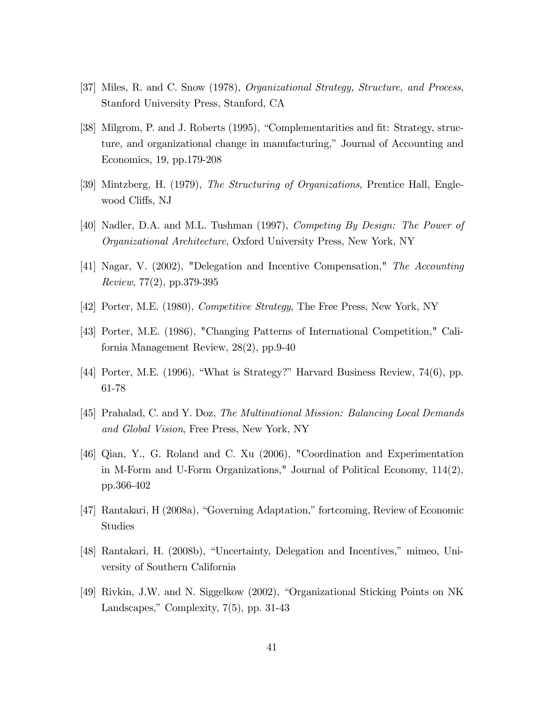- [37] Miles, R. and C. Snow (1978), Organizational Strategy, Structure, and Process, Stanford University Press, Stanford, CA
- [38] Milgrom, P. and J. Roberts (1995), "Complementarities and fit: Strategy, structure, and organizational change in manufacturing," Journal of Accounting and Economics, 19, pp.179-208
- [39] Mintzberg, H. (1979), The Structuring of Organizations, Prentice Hall, Englewood Cliffs, NJ
- [40] Nadler, D.A. and M.L. Tushman (1997), Competing By Design: The Power of Organizational Architecture, Oxford University Press, New York, NY
- [41] Nagar, V. (2002), "Delegation and Incentive Compensation," The Accounting Review, 77(2), pp.379-395
- [42] Porter, M.E. (1980), Competitive Strategy, The Free Press, New York, NY
- [43] Porter, M.E. (1986), "Changing Patterns of International Competition," California Management Review, 28(2), pp.9-40
- [44] Porter, M.E. (1996), "What is Strategy?" Harvard Business Review,  $74(6)$ , pp. 61-78
- [45] Prahalad, C. and Y. Doz, The Multinational Mission: Balancing Local Demands and Global Vision, Free Press, New York, NY
- [46] Qian, Y., G. Roland and C. Xu (2006), "Coordination and Experimentation in M-Form and U-Form Organizations," Journal of Political Economy,  $114(2)$ , pp.366-402
- $[47]$  Rantakari, H (2008a), "Governing Adaptation," fortcoming, Review of Economic Studies
- [48] Rantakari, H. (2008b), "Uncertainty, Delegation and Incentives," mimeo, University of Southern California
- [49] Rivkin, J.W. and N. Siggelkow (2002), "Organizational Sticking Points on NK Landscapes," Complexity,  $7(5)$ , pp. 31-43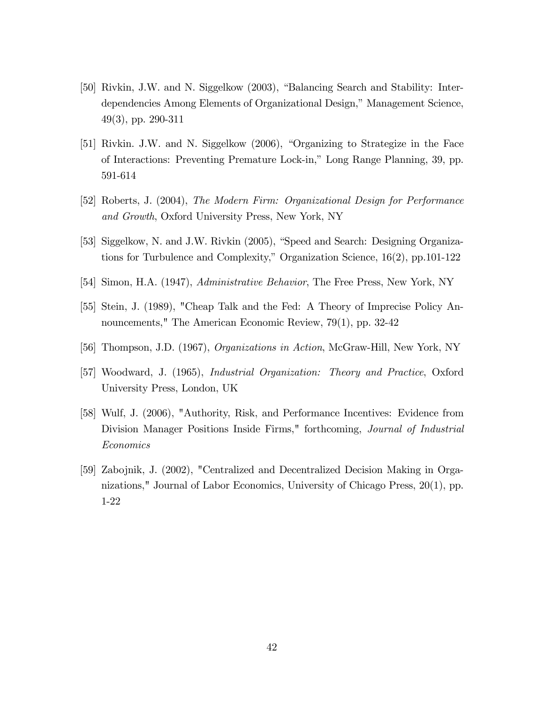- [50] Rivkin, J.W. and N. Siggelkow (2003), "Balancing Search and Stability: Interdependencies Among Elements of Organizational Design," Management Science, 49(3), pp. 290-311
- [51] Rivkin. J.W. and N. Siggelkow (2006), "Organizing to Strategize in the Face of Interactions: Preventing Premature Lock-in," Long Range Planning, 39, pp. 591-614
- [52] Roberts, J. (2004), The Modern Firm: Organizational Design for Performance and Growth, Oxford University Press, New York, NY
- [53] Siggelkow, N. and J.W. Rivkin (2005), "Speed and Search: Designing Organizations for Turbulence and Complexity," Organization Science,  $16(2)$ , pp.101-122
- [54] Simon, H.A. (1947), Administrative Behavior, The Free Press, New York, NY
- [55] Stein, J. (1989), "Cheap Talk and the Fed: A Theory of Imprecise Policy Announcements," The American Economic Review, 79(1), pp. 32-42
- [56] Thompson, J.D. (1967), Organizations in Action, McGraw-Hill, New York, NY
- [57] Woodward, J. (1965), Industrial Organization: Theory and Practice, Oxford University Press, London, UK
- [58] Wulf, J. (2006), "Authority, Risk, and Performance Incentives: Evidence from Division Manager Positions Inside Firms," forthcoming, Journal of Industrial Economics
- [59] Zabojnik, J. (2002), "Centralized and Decentralized Decision Making in Organizations," Journal of Labor Economics, University of Chicago Press, 20(1), pp. 1-22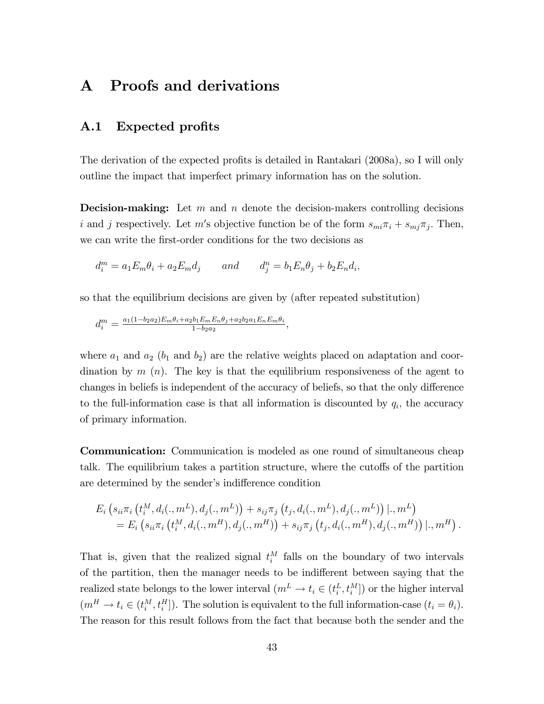## A Proofs and derivations

#### A.1 Expected profits

The derivation of the expected profits is detailed in Rantakari (2008a), so I will only outline the impact that imperfect primary information has on the solution.

**Decision-making:** Let m and n denote the decision-makers controlling decisions i and j respectively. Let m's objective function be of the form  $s_{mi}\pi_i + s_{mj}\pi_j$ . Then, we can write the first-order conditions for the two decisions as

$$
d_i^m = a_1 E_m \theta_i + a_2 E_m d_j \qquad and \qquad d_j^n = b_1 E_n \theta_j + b_2 E_n d_i,
$$

so that the equilibrium decisions are given by (after repeated substitution)

$$
d_i^m = \frac{a_1(1 - b_2a_2)E_m\theta_i + a_2b_1E_mE_n\theta_j + a_2b_2a_1E_nE_m\theta_i}{1 - b_2a_2},
$$

where  $a_1$  and  $a_2$  ( $b_1$  and  $b_2$ ) are the relative weights placed on adaptation and coordination by  $m(n)$ . The key is that the equilibrium responsiveness of the agent to changes in beliefs is independent of the accuracy of beliefs, so that the only difference to the full-information case is that all information is discounted by  $q_i$ , the accuracy of primary information.

**Communication:** Communication is modeled as one round of simultaneous cheap talk. The equilibrium takes a partition structure, where the cutoffs of the partition are determined by the sender's indifference condition

$$
E_i\left(s_{ii}\pi_i\left(t_i^M,d_i(.,m^L),d_j(.,m^L)\right)+s_{ij}\pi_j\left(t_j,d_i(.,m^L),d_j(.,m^L)\right)|.,m^L\right)\\=E_i\left(s_{ii}\pi_i\left(t_i^M,d_i(.,m^H),d_j(.,m^H)\right)+s_{ij}\pi_j\left(t_j,d_i(.,m^H),d_j(.,m^H)\right)|.,m^H\right).
$$

That is, given that the realized signal  $t_i^M$  falls on the boundary of two intervals of the partition, then the manager needs to be indifferent between saying that the realized state belongs to the lower interval  $(m^L \to t_i \in (t_i^L, t_i^M])$  or the higher interval  $(m^H \to t_i \in (t_i^M, t_i^H])$ . The solution is equivalent to the full information-case  $(t_i = \theta_i)$ . The reason for this result follows from the fact that because both the sender and the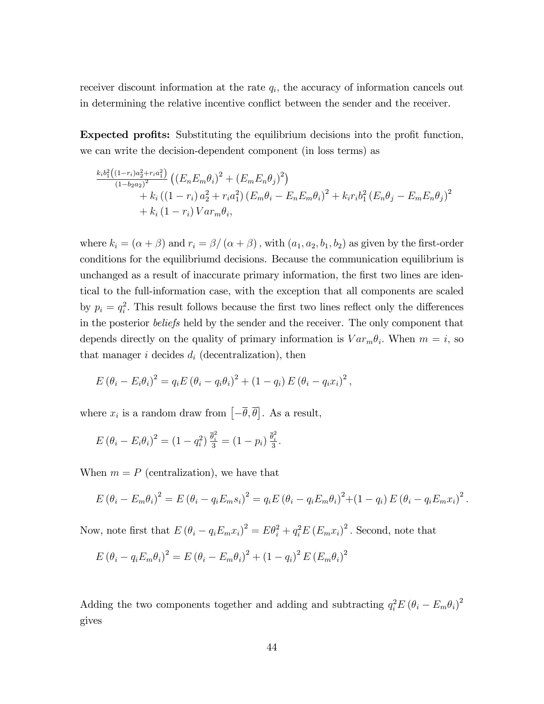receiver discount information at the rate  $q_i$ , the accuracy of information cancels out in determining the relative incentive conflict between the sender and the receiver.

**Expected profits:** Substituting the equilibrium decisions into the profit function, we can write the decision-dependent component (in loss terms) as

$$
\frac{k_i b_1^2 ((1-r_i)a_2^2 + r_i a_1^2)}{(1-b_2 a_2)^2} ((E_n E_m \theta_i)^2 + (E_m E_n \theta_j)^2) + k_i ((1-r_i) a_2^2 + r_i a_1^2) (E_m \theta_i - E_n E_m \theta_i)^2 + k_i r_i b_1^2 (E_n \theta_j - E_m E_n \theta_j)^2 + k_i (1-r_i) Var_m \theta_i,
$$

where  $k_i = (\alpha + \beta)$  and  $r_i = \beta/(\alpha + \beta)$ , with  $(a_1, a_2, b_1, b_2)$  as given by the first-order conditions for the equilibriumd decisions. Because the communication equilibrium is unchanged as a result of inaccurate primary information, the first two lines are identical to the full-information case, with the exception that all components are scaled by  $p_i = q_i^2$ . This result follows because the first two lines reflect only the differences in the posterior beliefs held by the sender and the receiver. The only component that depends directly on the quality of primary information is  $Var_m \theta_i$ . When  $m = i$ , so that manager i decides  $d_i$  (decentralization), then

$$
E(\theta_i - E_i\theta_i)^2 = q_i E (\theta_i - q_i\theta_i)^2 + (1 - q_i) E (\theta_i - q_i x_i)^2,
$$

where  $x_i$  is a random draw from  $\left[-\overline{\theta}, \overline{\theta}\right]$ . As a result,

$$
E(\theta_i - E_i \theta_i)^2 = (1 - q_i^2) \frac{\bar{\theta}_i^2}{3} = (1 - p_i) \frac{\bar{\theta}_i^2}{3}.
$$

When  $m = P$  (centralization), we have that

$$
E (\theta_i - E_m \theta_i)^2 = E (\theta_i - q_i E_m s_i)^2 = q_i E (\theta_i - q_i E_m \theta_i)^2 + (1 - q_i) E (\theta_i - q_i E_m x_i)^2.
$$

Now, note first that  $E(\theta_i - q_i E_m x_i)^2 = E\theta_i^2 + q_i^2 E(E_m x_i)^2$ . Second, note that

$$
E(\theta_i - q_i E_m \theta_i)^2 = E(\theta_i - E_m \theta_i)^2 + (1 - q_i)^2 E(E_m \theta_i)^2
$$

Adding the two components together and adding and subtracting  $q_i^2 E (\theta_i - E_m \theta_i)^2$ gives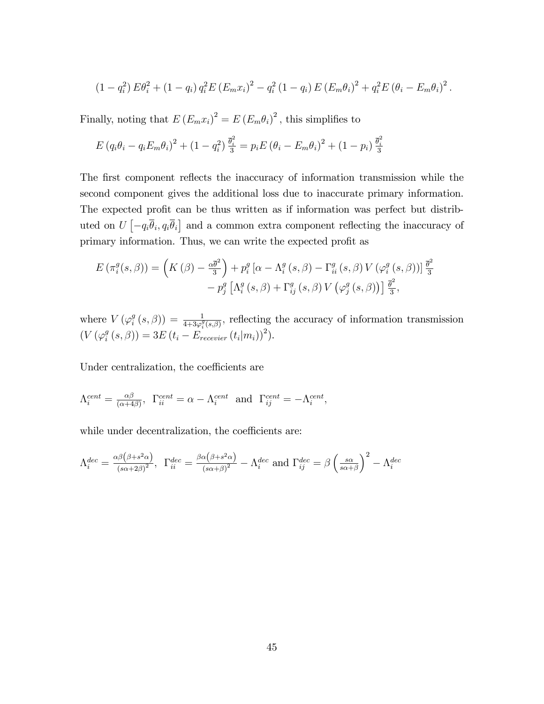$$
(1 - q_i^2) E\theta_i^2 + (1 - q_i) q_i^2 E (E_m x_i)^2 - q_i^2 (1 - q_i) E (E_m \theta_i)^2 + q_i^2 E (\theta_i - E_m \theta_i)^2.
$$

Finally, noting that  $E(E_m x_i)^2 = E(E_m \theta_i)^2$ , this simplifies to

$$
E (q_i \theta_i - q_i E_m \theta_i)^2 + (1 - q_i^2) \frac{\bar{\theta}_i^2}{3} = p_i E (\theta_i - E_m \theta_i)^2 + (1 - p_i) \frac{\bar{\theta}_i^2}{3}
$$

The first component reflects the inaccuracy of information transmission while the second component gives the additional loss due to inaccurate primary information. The expected profit can be thus written as if information was perfect but distributed on  $U\left[-q_i\overline{\theta}_i, q_i\overline{\theta}_i\right]$  and a common extra component reflecting the inaccuracy of primary information. Thus, we can write the expected profit as

$$
E(\pi_i^g(s,\beta)) = \left(K(\beta) - \frac{\alpha \bar{\theta}^2}{3}\right) + p_i^g \left[\alpha - \Lambda_i^g(s,\beta) - \Gamma_{ii}^g(s,\beta) V\left(\varphi_i^g(s,\beta)\right)\right] \frac{\bar{\theta}^2}{3} - p_j^g \left[\Lambda_i^g(s,\beta) + \Gamma_{ij}^g(s,\beta) V\left(\varphi_j^g(s,\beta)\right)\right] \frac{\bar{\theta}^2}{3},
$$

where  $V(\varphi_i^g)$  $\sigma_i^g(s,\beta) = \frac{1}{4+3\varphi_i^g(s,\beta)},$  reflecting the accuracy of information transmission  $(V \left( \varphi_i^g \right)$  $\hat{f}_{i}^{g}(s,\beta)$ ) = 3E ( $t_{i}$  – E<sub>recevier</sub> ( $t_{i}|m_{i})$ )<sup>2</sup>).

Under centralization, the coefficients are

$$
\Lambda_i^{cent} = \frac{\alpha \beta}{(\alpha + 4\beta)}, \ \ \Gamma_{ii}^{cent} = \alpha - \Lambda_i^{cent} \ \ \text{and} \ \ \Gamma_{ij}^{cent} = -\Lambda_i^{cent},
$$

while under decentralization, the coefficients are:

$$
\Lambda_i^{dec} = \frac{\alpha \beta (\beta + s^2 \alpha)}{(s \alpha + 2 \beta)^2}, \ \ \Gamma_{ii}^{dec} = \frac{\beta \alpha (\beta + s^2 \alpha)}{(s \alpha + \beta)^2} - \Lambda_i^{dec} \text{ and } \Gamma_{ij}^{dec} = \beta \left(\frac{s \alpha}{s \alpha + \beta}\right)^2 - \Lambda_i^{dec}
$$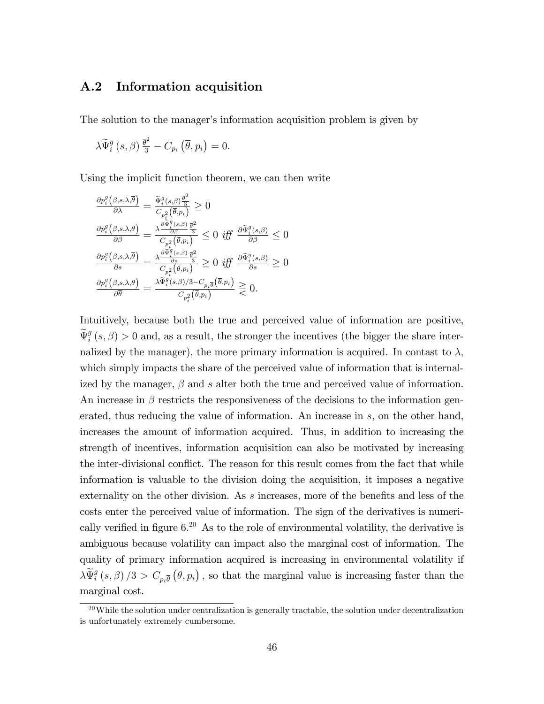#### A.2 Information acquisition

The solution to the manager's information acquisition problem is given by

$$
\lambda \widetilde{\Psi}_{i}^{g}\left(s,\beta\right) \frac{\overline{\theta}^{2}}{3}-C_{p_{i}}\left(\overline{\theta},p_{i}\right)=0.
$$

Using the implicit function theorem, we can then write

$$
\frac{\partial p_i^g(\beta, s, \lambda, \overline{\theta})}{\partial \lambda} = \frac{\widetilde{\Psi}_i^g(s, \beta) \frac{\overline{\theta}^2}{\overline{\theta}}}{C_{p_i^2}(\overline{\theta}, p_i)} \ge 0
$$
  

$$
\frac{\partial p_i^g(\beta, s, \lambda, \overline{\theta})}{\partial \beta} = \frac{\lambda \frac{\partial \widetilde{\Psi}_i^g(s, \beta)}{\partial \beta} \frac{\overline{\theta}^2}{\overline{\theta}}}{C_{p_i^2}(\overline{\theta}, p_i)} \le 0 \text{ iff } \frac{\partial \widetilde{\Psi}_i^g(s, \beta)}{\partial \beta} \le 0
$$
  

$$
\frac{\partial p_i^g(\beta, s, \lambda, \overline{\theta})}{\partial s} = \frac{\lambda \frac{\partial \widetilde{\Psi}_i^g(s, \beta)}{\partial s} \frac{\overline{\theta}^2}{\overline{\theta}}}{C_{p_i^2}(\overline{\theta}, p_i)} \ge 0 \text{ iff } \frac{\partial \widetilde{\Psi}_i^g(s, \beta)}{\partial s} \ge 0
$$
  

$$
\frac{\partial p_i^g(\beta, s, \lambda, \overline{\theta})}{\partial \overline{\theta}} = \frac{\lambda \widetilde{\Psi}_i^g(s, \beta)/3 - C_{p_i \overline{\theta}}(\overline{\theta}, p_i)}{C_{p_i^2}(\overline{\theta}, p_i)} \ge 0.
$$

Intuitively, because both the true and perceived value of information are positive,  $\widetilde{\Psi}_{i}^{g}(s,\beta) > 0$  and, as a result, the stronger the incentives (the bigger the share internalized by the manager), the more primary information is acquired. In contast to  $\lambda$ , which simply impacts the share of the perceived value of information that is internalized by the manager,  $\beta$  and s alter both the true and perceived value of information. An increase in  $\beta$  restricts the responsiveness of the decisions to the information generated, thus reducing the value of information. An increase in  $s$ , on the other hand, increases the amount of information acquired. Thus, in addition to increasing the strength of incentives, information acquisition can also be motivated by increasing the inter-divisional conflict. The reason for this result comes from the fact that while information is valuable to the division doing the acquisition, it imposes a negative externality on the other division. As  $s$  increases, more of the benefits and less of the costs enter the perceived value of information. The sign of the derivatives is numerically verified in figure  $6^{20}$  As to the role of environmental volatility, the derivative is ambiguous because volatility can impact also the marginal cost of information. The quality of primary information acquired is increasing in environmental volatility if  $\lambda \widetilde{\Psi}_i^g(s,\beta)/3 > C_{p_i\overline{\theta}}(\overline{\theta},p_i)$ , so that the marginal value is increasing faster than the marginal cost.

 $^{20}$ While the solution under centralization is generally tractable, the solution under decentralization is unfortunately extremely cumbersome.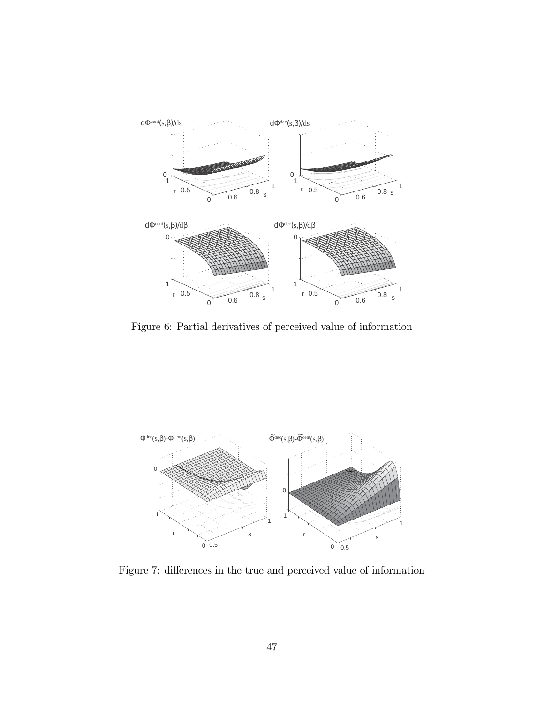

Figure 6: Partial derivatives of perceived value of information



Figure 7: differences in the true and perceived value of information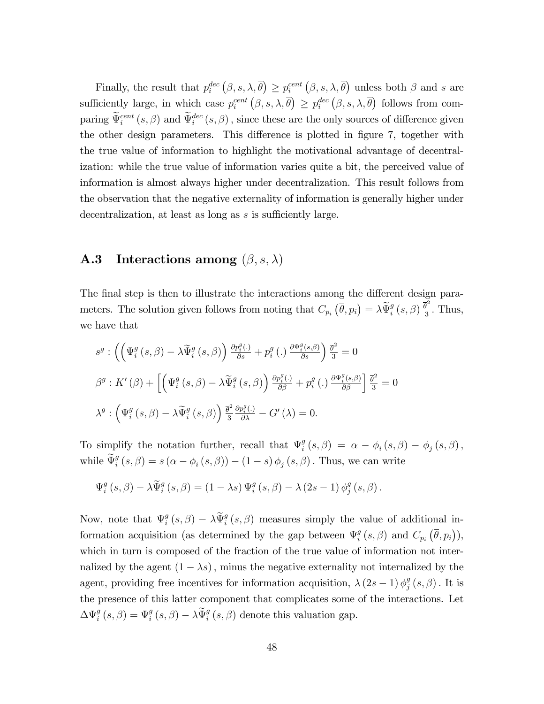Finally, the result that  $p_i^{dec}(\beta, s, \lambda, \overline{\theta}) \geq p_i^{cent}(\beta, s, \lambda, \overline{\theta})$  unless both  $\beta$  and s are sufficiently large, in which case  $p_i^{cent}(\beta, s, \lambda, \overline{\theta}) \geq p_i^{dec}(\beta, s, \lambda, \overline{\theta})$  follows from comparing  $\bar{\Psi}_{i}^{cent}(s,\beta)$  and  $\bar{\Psi}_{i}^{dec}(s,\beta)$ , since these are the only sources of difference given the other design parameters. This difference is plotted in figure 7, together with the true value of information to highlight the motivational advantage of decentralization: while the true value of information varies quite a bit, the perceived value of information is almost always higher under decentralization. This result follows from the observation that the negative externality of information is generally higher under decentralization, at least as long as  $s$  is sufficiently large.

## **A.3** Interactions among  $(\beta, s, \lambda)$

The final step is then to illustrate the interactions among the different design parameters. The solution given follows from noting that  $C_{p_i}(\overline{\theta}, p_i) = \lambda \widetilde{\Psi}_i^g(s, \beta) \frac{\overline{\theta}^2}{3}$  $\frac{9}{3}$ . Thus, we have that

$$
s^{g} : \left( \left( \Psi_{i}^{g} \left( s, \beta \right) - \lambda \widetilde{\Psi}_{i}^{g} \left( s, \beta \right) \right) \frac{\partial p_{i}^{g}(\cdot)}{\partial s} + p_{i}^{g} \left( . \right) \frac{\partial \Psi_{i}^{g} \left( s, \beta \right)}{\partial s} \right) \frac{\overline{\theta}^{2}}{3} = 0
$$
  

$$
\beta^{g} : K' \left( \beta \right) + \left[ \left( \Psi_{i}^{g} \left( s, \beta \right) - \lambda \widetilde{\Psi}_{i}^{g} \left( s, \beta \right) \right) \frac{\partial p_{i}^{g}(\cdot)}{\partial \beta} + p_{i}^{g} \left( . \right) \frac{\partial \Psi_{i}^{g} \left( s, \beta \right)}{\partial \beta} \right] \frac{\overline{\theta}^{2}}{3} = 0
$$
  

$$
\lambda^{g} : \left( \Psi_{i}^{g} \left( s, \beta \right) - \lambda \widetilde{\Psi}_{i}^{g} \left( s, \beta \right) \right) \frac{\overline{\theta}^{2}}{3} \frac{\partial p_{i}^{g}(\cdot)}{\partial \lambda} - G' \left( \lambda \right) = 0.
$$

To simplify the notation further, recall that  $\Psi_i^g$  $\theta_i^g\left(s,\beta\right) \;=\; \alpha \,-\, \phi_i\left(s,\beta\right) \,-\, \phi_j\left(s,\beta\right),$ while  $\widetilde{\Psi}_{i}^{g}(s,\beta) = s(\alpha - \phi_{i}(s,\beta)) - (1-s)\phi_{j}(s,\beta)$ . Thus, we can write

$$
\Psi_i^g\left(s,\beta\right) - \lambda \widetilde{\Psi}_i^g\left(s,\beta\right) = \left(1 - \lambda s\right) \Psi_i^g\left(s,\beta\right) - \lambda \left(2s - 1\right) \phi_j^g\left(s,\beta\right).
$$

Now, note that  $\Psi_i^g$  $\hat{y}_i^g(s,\beta) - \lambda \tilde{\Psi}_i^g(s,\beta)$  measures simply the value of additional information acquisition (as determined by the gap between  $\Psi_i^g$  $_{i}^{g}(s,\beta)$  and  $C_{p_{i}}(\overline{\theta},p_{i})$ ), which in turn is composed of the fraction of the true value of information not internalized by the agent  $(1 - \lambda s)$ , minus the negative externality not internalized by the agent, providing free incentives for information acquisition,  $\lambda (2s-1) \phi_j^g$  $_{j}^{g}\left( s,\beta\right) .$  It is the presence of this latter component that complicates some of the interactions. Let  $\Delta \Psi_i^g(s,\beta) = \Psi_i^g(s,\beta) - \lambda \widetilde{\Psi}_i^g(s,\beta)$  denote this valuation gap.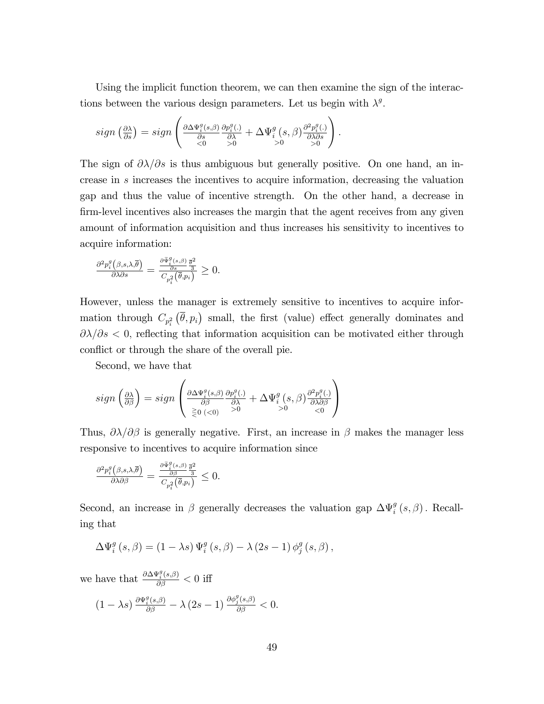Using the implicit function theorem, we can then examine the sign of the interactions between the various design parameters. Let us begin with  $\lambda^g$ .

$$
sign\left(\tfrac{\partial \lambda}{\partial s}\right) = sign\left(\tfrac{\partial \Delta \Psi_i^g(s,\beta)}{\partial s} \tfrac{\partial p_i^g(.)}{\partial \lambda} + \Delta \Psi_i^g(s,\beta) \tfrac{\partial^2 p_i^g(.)}{\partial \lambda \partial s}\right).
$$

The sign of  $\partial \lambda/\partial s$  is thus ambiguous but generally positive. On one hand, an increase in s increases the incentives to acquire information, decreasing the valuation gap and thus the value of incentive strength. On the other hand, a decrease in firm-level incentives also increases the margin that the agent receives from any given amount of information acquisition and thus increases his sensitivity to incentives to acquire information:

$$
\frac{\partial^2 p_i^g(\beta,s,\lambda,\overline{\theta})}{\partial \lambda \partial s} = \frac{\frac{\partial \widetilde{\Psi}_i^g(s,\beta)}{\partial s} \frac{\overline{\theta}^2}{3}}{C_{p_i^2}(\overline{\theta},p_i)} \geq 0.
$$

However, unless the manager is extremely sensitive to incentives to acquire information through  $C_{p_i^2}(\bar{\theta}, p_i)$  small, the first (value) effect generally dominates and  $\partial \lambda/\partial s$  < 0, reflecting that information acquisition can be motivated either through conflict or through the share of the overall pie.

Second, we have that

$$
sign\left(\frac{\partial \lambda}{\partial \beta}\right) = sign\left(\frac{\partial \Delta \Psi_i^g(s,\beta)}{\partial \beta} \frac{\partial p_i^g(.)}{\partial \lambda} + \Delta \Psi_i^g(s,\beta) \frac{\partial^2 p_i^g(.)}{\partial \lambda \partial \beta} \right) \newline \geq 0 \cdot \langle 0, \sqrt{2} \rangle \leq 0
$$

Thus,  $\partial \lambda / \partial \beta$  is generally negative. First, an increase in  $\beta$  makes the manager less responsive to incentives to acquire information since

$$
\tfrac{\partial^2 p_i^g\left(\beta,s,\lambda,\overline{\theta}\right)}{\partial \lambda \partial \beta}=\tfrac{\frac{\partial \widetilde{\Psi}_i^g\left(s,\beta\right)}{\partial \beta}\tfrac{\overline{\theta}^2}{3}}{C_{p_i^2}\left(\overline{\theta},p_i\right)}\leq 0.
$$

Second, an increase in  $\beta$  generally decreases the valuation gap  $\Delta \Psi_i^g(s, \beta)$ . Recalling that

$$
\Delta \Psi_i^g\left(s,\beta\right) = \left(1 - \lambda s\right) \Psi_i^g\left(s,\beta\right) - \lambda \left(2s - 1\right) \phi_j^g\left(s,\beta\right),
$$

we have that  $\frac{\partial \Delta \Psi_i^g(s,\beta)}{\partial \beta} < 0$  iff

$$
(1 - \lambda s) \frac{\partial \Psi_i^g(s,\beta)}{\partial \beta} - \lambda (2s - 1) \frac{\partial \phi_j^g(s,\beta)}{\partial \beta} < 0.
$$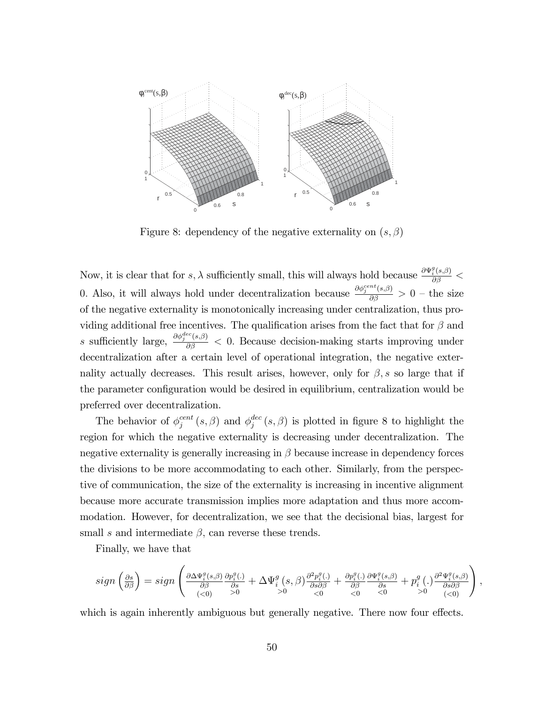

Figure 8: dependency of the negative externality on  $(s, \beta)$ 

Now, it is clear that for  $s, \lambda$  sufficiently small, this will always hold because  $\frac{\partial \Psi_i^g(s,\beta)}{\partial \beta}$  < 0. Also, it will always hold under decentralization because  $\frac{\partial \phi_j^{cent}(s,\beta)}{\partial \beta} > 0$  – the size of the negative externality is monotonically increasing under centralization, thus providing additional free incentives. The qualification arises from the fact that for  $\beta$  and s sufficiently large,  $\frac{\partial \phi_j^{dec}(s,\beta)}{\partial \beta} < 0$ . Because decision-making starts improving under decentralization after a certain level of operational integration, the negative externality actually decreases. This result arises, however, only for  $\beta$ , s so large that if the parameter configuration would be desired in equilibrium, centralization would be preferred over decentralization.

The behavior of  $\phi_i^{cent}$  $j^{cent}\left(s,\beta\right)$  and  $\phi_j^{dec}$  $j^{dec}(s,\beta)$  is plotted in figure 8 to highlight the region for which the negative externality is decreasing under decentralization. The negative externality is generally increasing in  $\beta$  because increase in dependency forces the divisions to be more accommodating to each other. Similarly, from the perspective of communication, the size of the externality is increasing in incentive alignment because more accurate transmission implies more adaptation and thus more accommodation. However, for decentralization, we see that the decisional bias, largest for small s and intermediate  $\beta$ , can reverse these trends.

Finally, we have that

$$
sign\left(\tfrac{\partial s}{\partial \beta}\right)=sign\left(\tfrac{\partial \Delta \Psi^{g}_{i}(s,\beta)}{\partial \beta} \tfrac{\partial p^{g}_{i}(.)}{\partial s}+\Delta \Psi^{g}_{i}\left(s,\beta\right)\tfrac{\partial^{2} p^{g}_{i}(.)}{\partial s\partial \beta}+\tfrac{\partial p^{g}_{i}(.)}{\partial \beta} \tfrac{\partial \Psi^{g}_{i}(s,\beta)}{\partial s}+p^{g}_{i}\left(.\right)\tfrac{\partial^{2} \Psi^{g}_{i}(s,\beta)}{\partial s\partial \beta}\right),
$$

which is again inherently ambiguous but generally negative. There now four effects.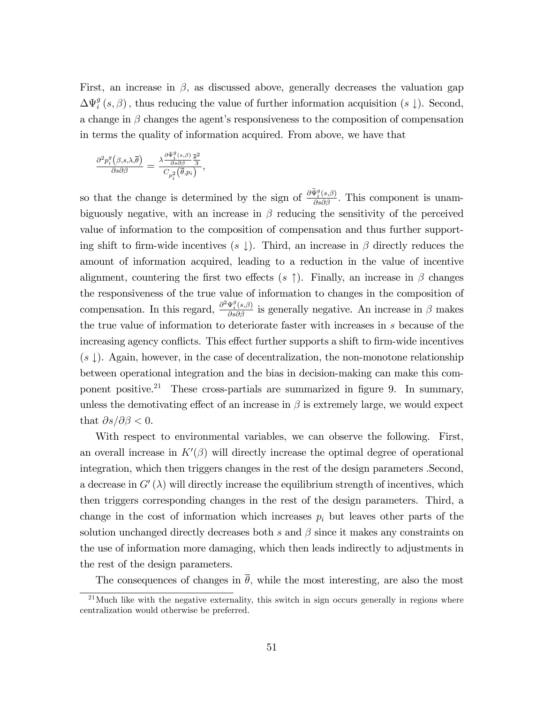First, an increase in  $\beta$ , as discussed above, generally decreases the valuation gap  $\Delta \Psi_i^g\left(s,\beta\right)$ , thus reducing the value of further information acquisition  $(s \downarrow)$ . Second, a change in  $\beta$  changes the agent's responsiveness to the composition of compensation in terms the quality of information acquired. From above, we have that

$$
\frac{\partial^2 p_i^g\big(\beta,s,\lambda,\overline{\theta}\big)}{\partial s\partial\beta}=\frac{\lambda \frac{\partial \tilde{\Psi}_i^g\left(s,\beta\right)}{\partial s\partial\beta} \frac{\overline{\theta}^2}{3}}{C_{p_i^2}\big(\overline{\theta},p_i\big)},
$$

so that the change is determined by the sign of  $\frac{\partial \tilde{\Psi}_i^g(s,\beta)}{\partial s \partial \beta}$ . This component is unambiguously negative, with an increase in  $\beta$  reducing the sensitivity of the perceived value of information to the composition of compensation and thus further supporting shift to firm-wide incentives  $(s \downarrow)$ . Third, an increase in  $\beta$  directly reduces the amount of information acquired, leading to a reduction in the value of incentive alignment, countering the first two effects  $(s \uparrow)$ . Finally, an increase in  $\beta$  changes the responsiveness of the true value of information to changes in the composition of compensation. In this regard,  $\frac{\partial^2 \Psi_i^g(s,\beta)}{\partial s \partial \beta}$  is generally negative. An increase in  $\beta$  makes the true value of information to deteriorate faster with increases in s because of the increasing agency conflicts. This effect further supports a shift to firm-wide incentives  $(s \downarrow)$ . Again, however, in the case of decentralization, the non-monotone relationship between operational integration and the bias in decision-making can make this component positive.<sup>21</sup> These cross-partials are summarized in figure 9. In summary, unless the demotivating effect of an increase in  $\beta$  is extremely large, we would expect that  $\partial s/\partial \beta < 0$ .

With respect to environmental variables, we can observe the following. First, an overall increase in  $K'(\beta)$  will directly increase the optimal degree of operational integration, which then triggers changes in the rest of the design parameters .Second, a decrease in  $G'(\lambda)$  will directly increase the equilibrium strength of incentives, which then triggers corresponding changes in the rest of the design parameters. Third, a change in the cost of information which increases  $p_i$  but leaves other parts of the solution unchanged directly decreases both s and  $\beta$  since it makes any constraints on the use of information more damaging, which then leads indirectly to adjustments in the rest of the design parameters.

The consequences of changes in  $\bar{\theta}$ , while the most interesting, are also the most

 $^{21}$ Much like with the negative externality, this switch in sign occurs generally in regions where centralization would otherwise be preferred.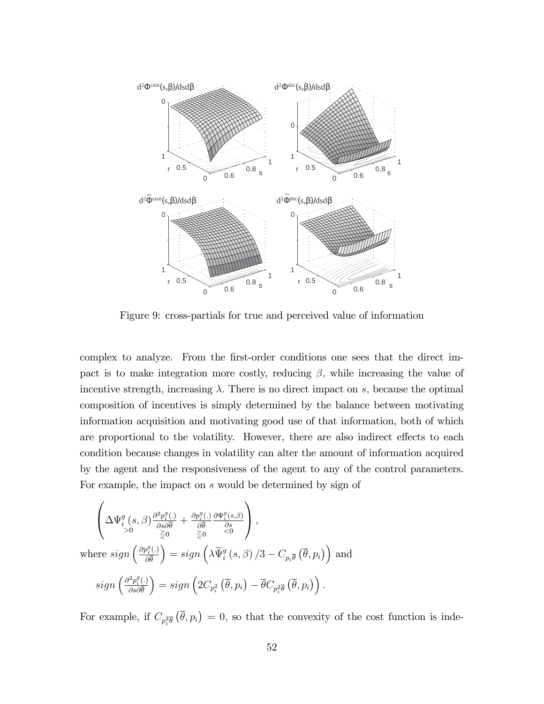

Figure 9: cross-partials for true and perceived value of information

complex to analyze. From the first-order conditions one sees that the direct impact is to make integration more costly, reducing  $\beta$ , while increasing the value of incentive strength, increasing  $\lambda$ . There is no direct impact on s, because the optimal composition of incentives is simply determined by the balance between motivating information acquisition and motivating good use of that information, both of which are proportional to the volatility. However, there are also indirect effects to each condition because changes in volatility can alter the amount of information acquired by the agent and the responsiveness of the agent to any of the control parameters. For example, the impact on s would be determined by sign of

$$
\begin{pmatrix}\n\Delta\Psi_i^g(s,\beta)\frac{\partial^2 p_i^g(.)}{\partial s\partial \overline{\theta}} + \frac{\partial p_i^g(.)}{\partial \overline{\theta}}\frac{\partial \Psi_i^g(s,\beta)}{\partial s}\n\\ \n\searrow 0 \quad \geq 0 \quad \geq 0 \quad \geq 0\n\end{pmatrix},
$$
\nwhere  $sign\left(\frac{\partial p_i^g(.)}{\partial \overline{\theta}}\right) = sign\left(\lambda \widetilde{\Psi}_i^g(s,\beta)/3 - C_{p_i\overline{\theta}}\left(\overline{\theta}, p_i\right)\right)$  and\n
$$
sign\left(\frac{\partial^2 p_i^g(.)}{\partial s\partial \overline{\theta}}\right) = sign\left(2C_{p_i^2}\left(\overline{\theta}, p_i\right) - \overline{\theta}C_{p_i^2\overline{\theta}}\left(\overline{\theta}, p_i\right)\right).
$$

For example, if  $C_{p_i^2\bar{\theta}}(\bar{\theta}, p_i) = 0$ , so that the convexity of the cost function is inde-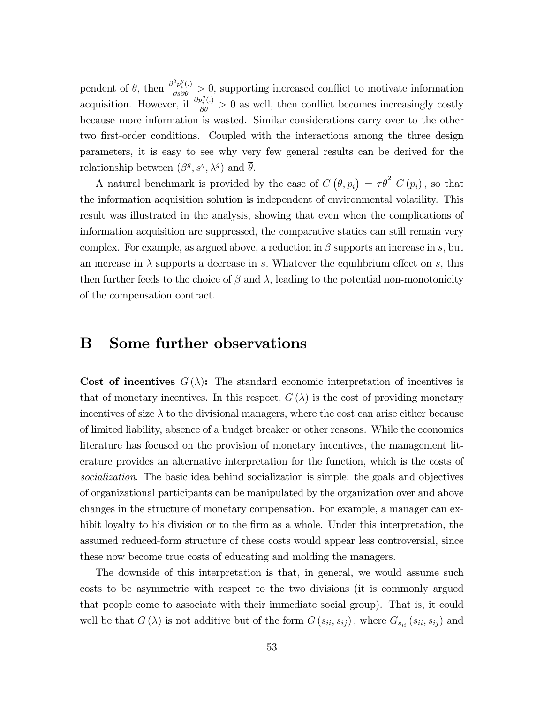pendent of  $\bar{\theta}$ , then  $\frac{\partial^2 p_i^g(.)}{\partial \theta \partial \bar{\theta}}$  $\frac{p_i(y_i)}{\partial s \partial \bar{\theta}} > 0$ , supporting increased conflict to motivate information acquisition. However, if  $\frac{\partial p_i^g(.)}{\partial \overline{\theta}}$  $\frac{\partial u_i(j)}{\partial \theta} > 0$  as well, then conflict becomes increasingly costly because more information is wasted. Similar considerations carry over to the other two first-order conditions. Coupled with the interactions among the three design parameters, it is easy to see why very few general results can be derived for the relationship between  $(\beta^g, s^g, \lambda^g)$  and  $\overline{\theta}$ .

A natural benchmark is provided by the case of  $C(\bar{\theta}, p_i) = \tau \bar{\theta}^2 C(p_i)$ , so that the information acquisition solution is independent of environmental volatility. This result was illustrated in the analysis, showing that even when the complications of information acquisition are suppressed, the comparative statics can still remain very complex. For example, as argued above, a reduction in  $\beta$  supports an increase in s, but an increase in  $\lambda$  supports a decrease in s. Whatever the equilibrium effect on s, this then further feeds to the choice of  $\beta$  and  $\lambda$ , leading to the potential non-monotonicity of the compensation contract.

### B Some further observations

Cost of incentives  $G(\lambda)$ : The standard economic interpretation of incentives is that of monetary incentives. In this respect,  $G(\lambda)$  is the cost of providing monetary incentives of size  $\lambda$  to the divisional managers, where the cost can arise either because of limited liability, absence of a budget breaker or other reasons. While the economics literature has focused on the provision of monetary incentives, the management literature provides an alternative interpretation for the function, which is the costs of socialization. The basic idea behind socialization is simple: the goals and objectives of organizational participants can be manipulated by the organization over and above changes in the structure of monetary compensation. For example, a manager can exhibit loyalty to his division or to the firm as a whole. Under this interpretation, the assumed reduced-form structure of these costs would appear less controversial, since these now become true costs of educating and molding the managers.

The downside of this interpretation is that, in general, we would assume such costs to be asymmetric with respect to the two divisions (it is commonly argued that people come to associate with their immediate social group). That is, it could well be that  $G(\lambda)$  is not additive but of the form  $G(s_{ii}, s_{ij})$ , where  $G_{s_{ii}}(s_{ii}, s_{ij})$  and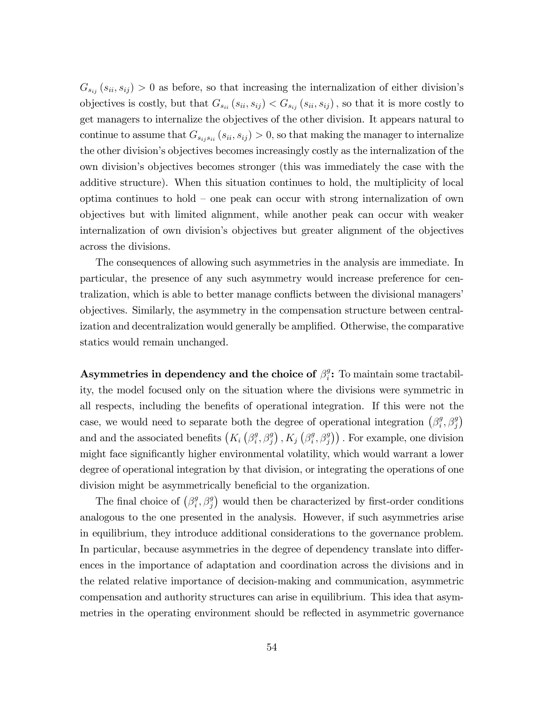$G_{s_{ij}}(s_{ii}, s_{ij}) > 0$  as before, so that increasing the internalization of either division's objectives is costly, but that  $G_{s_{ii}}(s_{ii}, s_{ij}) < G_{s_{ij}}(s_{ii}, s_{ij})$ , so that it is more costly to get managers to internalize the objectives of the other division. It appears natural to continue to assume that  $G_{s_i,s_{ij}}(s_{ii}, s_{ij}) > 0$ , so that making the manager to internalize the other division's objectives becomes increasingly costly as the internalization of the own divisionís objectives becomes stronger (this was immediately the case with the additive structure). When this situation continues to hold, the multiplicity of local optima continues to hold  $\sim$  one peak can occur with strong internalization of own objectives but with limited alignment, while another peak can occur with weaker internalization of own divisionís objectives but greater alignment of the objectives across the divisions.

The consequences of allowing such asymmetries in the analysis are immediate. In particular, the presence of any such asymmetry would increase preference for centralization, which is able to better manage conflicts between the divisional managers' objectives. Similarly, the asymmetry in the compensation structure between centralization and decentralization would generally be amplified. Otherwise, the comparative statics would remain unchanged.

Asymmetries in dependency and the choice of  $\beta_i^g$  $i^g$ : To maintain some tractability, the model focused only on the situation where the divisions were symmetric in all respects, including the benefits of operational integration. If this were not the case, we would need to separate both the degree of operational integration  $(\beta_i^g)$  $_{i}^{g}, \beta_{j}^{g}$ and and the associated benefits  $(K_i \left( \beta_i^g\right))$  $_{i}^{g},\beta_{j}^{g}\big)$  ,  $K_{j}$   $\big(\beta_{i}^{g}$  $(\mathcal{G}_i^g, \beta_j^g)$ . For example, one division might face significantly higher environmental volatility, which would warrant a lower degree of operational integration by that division, or integrating the operations of one division might be asymmetrically beneficial to the organization.

The final choice of  $(\beta_i^g)$  $(\mathcal{G}_i^g, \beta_j^g)$  would then be characterized by first-order conditions analogous to the one presented in the analysis. However, if such asymmetries arise in equilibrium, they introduce additional considerations to the governance problem. In particular, because asymmetries in the degree of dependency translate into differences in the importance of adaptation and coordination across the divisions and in the related relative importance of decision-making and communication, asymmetric compensation and authority structures can arise in equilibrium. This idea that asymmetries in the operating environment should be reflected in asymmetric governance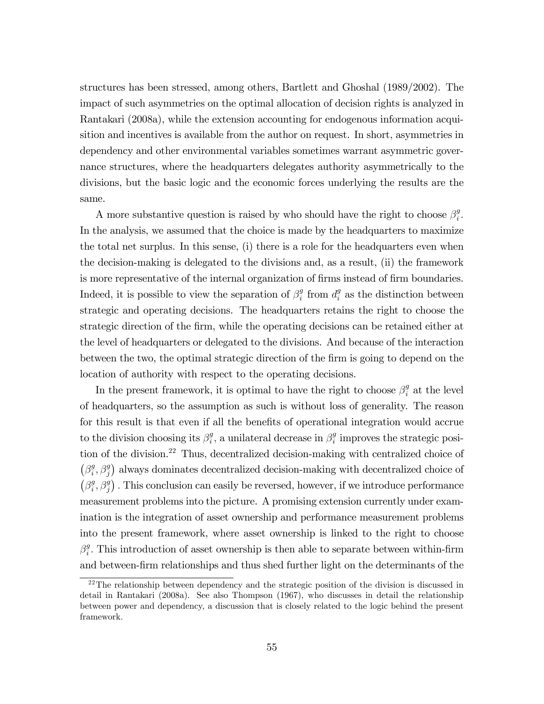structures has been stressed, among others, Bartlett and Ghoshal (1989/2002). The impact of such asymmetries on the optimal allocation of decision rights is analyzed in Rantakari (2008a), while the extension accounting for endogenous information acquisition and incentives is available from the author on request. In short, asymmetries in dependency and other environmental variables sometimes warrant asymmetric governance structures, where the headquarters delegates authority asymmetrically to the divisions, but the basic logic and the economic forces underlying the results are the same.

A more substantive question is raised by who should have the right to choose  $\beta_i^g$  $\frac{g}{i}$ . In the analysis, we assumed that the choice is made by the headquarters to maximize the total net surplus. In this sense, (i) there is a role for the headquarters even when the decision-making is delegated to the divisions and, as a result, (ii) the framework is more representative of the internal organization of firms instead of firm boundaries. Indeed, it is possible to view the separation of  $\beta_i^g$  $\int_i^g$  from  $d_i^g$  $\frac{g}{i}$  as the distinction between strategic and operating decisions. The headquarters retains the right to choose the strategic direction of the Örm, while the operating decisions can be retained either at the level of headquarters or delegated to the divisions. And because of the interaction between the two, the optimal strategic direction of the firm is going to depend on the location of authority with respect to the operating decisions.

In the present framework, it is optimal to have the right to choose  $\beta_i^g$  $_i^g$  at the level of headquarters, so the assumption as such is without loss of generality. The reason for this result is that even if all the benefits of operational integration would accrue to the division choosing its  $\beta_i^g$  $i$ , a unilateral decrease in  $\beta_i^g$  $\frac{g}{i}$  improves the strategic position of the division.<sup>22</sup> Thus, decentralized decision-making with centralized choice of  $(\beta_i^g)$  $\left( \xi_i^g, \beta_j^g \right)$  always dominates decentralized decision-making with decentralized choice of  $(\beta_i^g)$  $(\mathcal{G}_i^g, \beta_j^g)$ . This conclusion can easily be reversed, however, if we introduce performance measurement problems into the picture. A promising extension currently under examination is the integration of asset ownership and performance measurement problems into the present framework, where asset ownership is linked to the right to choose  $\beta_i^g$  $\frac{g}{i}$ . This introduction of asset ownership is then able to separate between within-firm and between-Örm relationships and thus shed further light on the determinants of the

<sup>&</sup>lt;sup>22</sup>The relationship between dependency and the strategic position of the division is discussed in detail in Rantakari (2008a). See also Thompson (1967), who discusses in detail the relationship between power and dependency, a discussion that is closely related to the logic behind the present framework.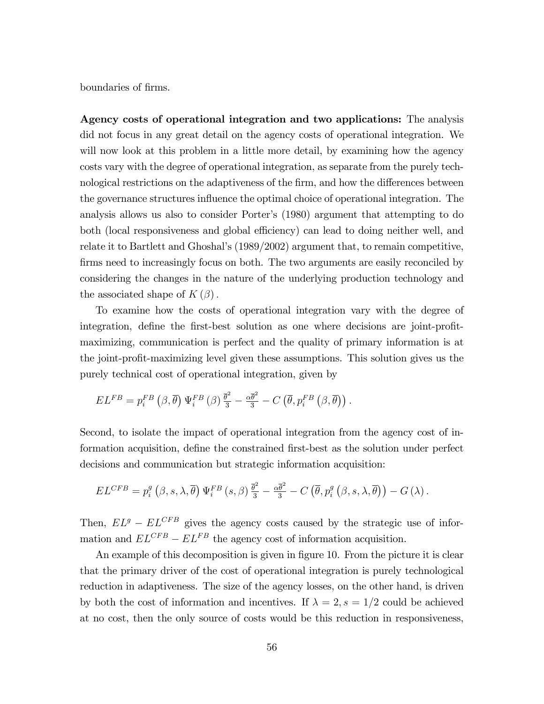boundaries of firms.

Agency costs of operational integration and two applications: The analysis did not focus in any great detail on the agency costs of operational integration. We will now look at this problem in a little more detail, by examining how the agency costs vary with the degree of operational integration, as separate from the purely technological restrictions on the adaptiveness of the firm, and how the differences between the governance structures ináuence the optimal choice of operational integration. The analysis allows us also to consider Porter's (1980) argument that attempting to do both (local responsiveness and global efficiency) can lead to doing neither well, and relate it to Bartlett and Ghoshalís (1989/2002) argument that, to remain competitive, firms need to increasingly focus on both. The two arguments are easily reconciled by considering the changes in the nature of the underlying production technology and the associated shape of  $K(\beta)$ .

To examine how the costs of operational integration vary with the degree of integration, define the first-best solution as one where decisions are joint-profitmaximizing, communication is perfect and the quality of primary information is at the joint-profit-maximizing level given these assumptions. This solution gives us the purely technical cost of operational integration, given by

$$
EL^{FB} = p_i^{FB} (\beta, \overline{\theta}) \Psi_i^{FB} (\beta) \frac{\overline{\theta}^2}{3} - \frac{\alpha \overline{\theta}^2}{3} - C (\overline{\theta}, p_i^{FB} (\beta, \overline{\theta})).
$$

Second, to isolate the impact of operational integration from the agency cost of information acquisition, define the constrained first-best as the solution under perfect decisions and communication but strategic information acquisition:

$$
EL^{CFB} = p_i^g \left( \beta, s, \lambda, \overline{\theta} \right) \Psi_i^{FB} \left( s, \beta \right) \frac{\overline{\theta}^2}{3} - \frac{\alpha \overline{\theta}^2}{3} - C \left( \overline{\theta}, p_i^g \left( \beta, s, \lambda, \overline{\theta} \right) \right) - G \left( \lambda \right).
$$

Then,  $EL^{g} - EL^{CFB}$  gives the agency costs caused by the strategic use of information and  $EL^{CFB} - EL^{FB}$  the agency cost of information acquisition.

An example of this decomposition is given in figure 10. From the picture it is clear that the primary driver of the cost of operational integration is purely technological reduction in adaptiveness. The size of the agency losses, on the other hand, is driven by both the cost of information and incentives. If  $\lambda = 2$ ,  $s = 1/2$  could be achieved at no cost, then the only source of costs would be this reduction in responsiveness,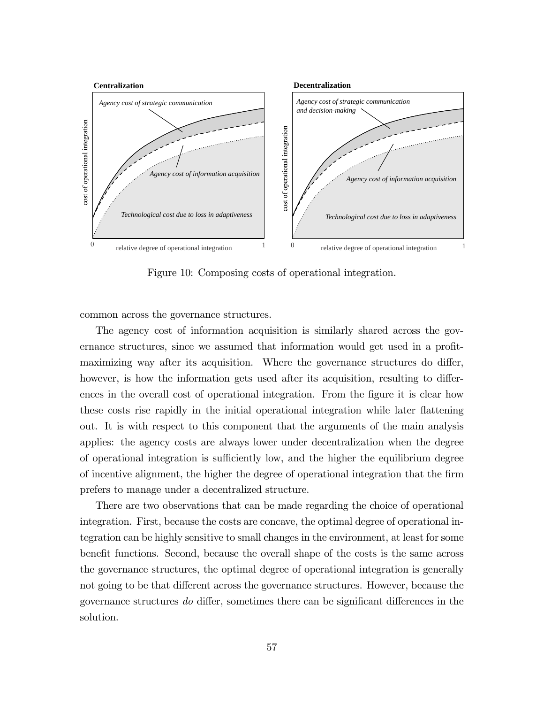

Figure 10: Composing costs of operational integration.

common across the governance structures.

The agency cost of information acquisition is similarly shared across the governance structures, since we assumed that information would get used in a profitmaximizing way after its acquisition. Where the governance structures do differ, however, is how the information gets used after its acquisition, resulting to differences in the overall cost of operational integration. From the figure it is clear how these costs rise rapidly in the initial operational integration while later flattening out. It is with respect to this component that the arguments of the main analysis applies: the agency costs are always lower under decentralization when the degree of operational integration is sufficiently low, and the higher the equilibrium degree of incentive alignment, the higher the degree of operational integration that the Örm prefers to manage under a decentralized structure.

There are two observations that can be made regarding the choice of operational integration. First, because the costs are concave, the optimal degree of operational integration can be highly sensitive to small changes in the environment, at least for some benefit functions. Second, because the overall shape of the costs is the same across the governance structures, the optimal degree of operational integration is generally not going to be that different across the governance structures. However, because the governance structures do differ, sometimes there can be significant differences in the solution.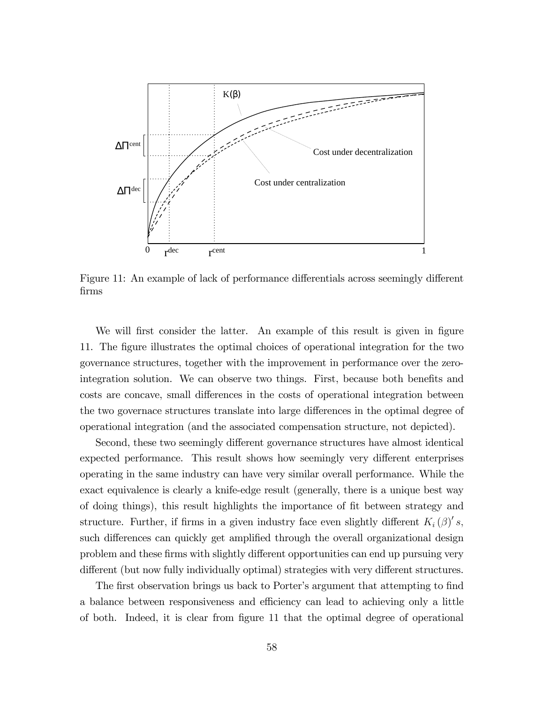

Figure 11: An example of lack of performance differentials across seemingly different Örms

We will first consider the latter. An example of this result is given in figure 11. The Ögure illustrates the optimal choices of operational integration for the two governance structures, together with the improvement in performance over the zerointegration solution. We can observe two things. First, because both benefits and costs are concave, small differences in the costs of operational integration between the two governace structures translate into large differences in the optimal degree of operational integration (and the associated compensation structure, not depicted).

Second, these two seemingly different governance structures have almost identical expected performance. This result shows how seemingly very different enterprises operating in the same industry can have very similar overall performance. While the exact equivalence is clearly a knife-edge result (generally, there is a unique best way of doing things), this result highlights the importance of fit between strategy and structure. Further, if firms in a given industry face even slightly different  $K_i(\beta)'s$ , such differences can quickly get amplified through the overall organizational design problem and these firms with slightly different opportunities can end up pursuing very different (but now fully individually optimal) strategies with very different structures.

The first observation brings us back to Porter's argument that attempting to find a balance between responsiveness and efficiency can lead to achieving only a little of both. Indeed, it is clear from Ögure 11 that the optimal degree of operational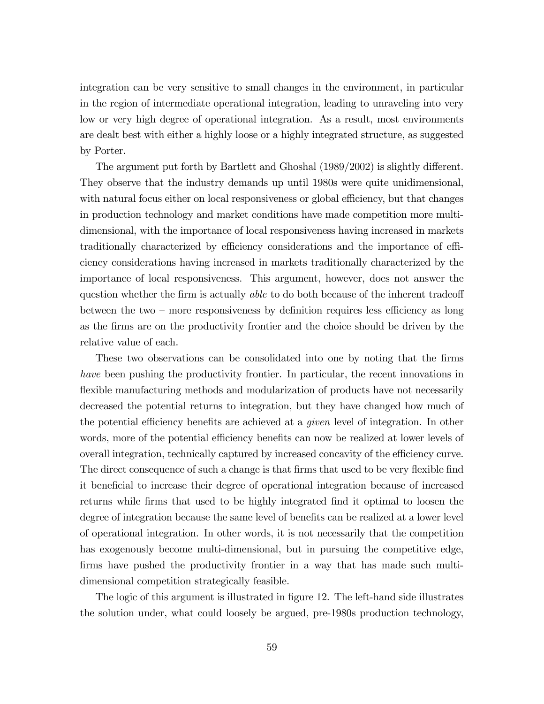integration can be very sensitive to small changes in the environment, in particular in the region of intermediate operational integration, leading to unraveling into very low or very high degree of operational integration. As a result, most environments are dealt best with either a highly loose or a highly integrated structure, as suggested by Porter.

The argument put forth by Bartlett and Ghoshal  $(1989/2002)$  is slightly different. They observe that the industry demands up until 1980s were quite unidimensional, with natural focus either on local responsiveness or global efficiency, but that changes in production technology and market conditions have made competition more multidimensional, with the importance of local responsiveness having increased in markets traditionally characterized by efficiency considerations and the importance of efficiency considerations having increased in markets traditionally characterized by the importance of local responsiveness. This argument, however, does not answer the question whether the firm is actually *able* to do both because of the inherent tradeoff between the two – more responsiveness by definition requires less efficiency as long as the Örms are on the productivity frontier and the choice should be driven by the relative value of each.

These two observations can be consolidated into one by noting that the firms have been pushing the productivity frontier. In particular, the recent innovations in flexible manufacturing methods and modularization of products have not necessarily decreased the potential returns to integration, but they have changed how much of the potential efficiency benefits are achieved at a *given* level of integration. In other words, more of the potential efficiency benefits can now be realized at lower levels of overall integration, technically captured by increased concavity of the efficiency curve. The direct consequence of such a change is that firms that used to be very flexible find it beneficial to increase their degree of operational integration because of increased returns while firms that used to be highly integrated find it optimal to loosen the degree of integration because the same level of benefits can be realized at a lower level of operational integration. In other words, it is not necessarily that the competition has exogenously become multi-dimensional, but in pursuing the competitive edge, firms have pushed the productivity frontier in a way that has made such multidimensional competition strategically feasible.

The logic of this argument is illustrated in figure 12. The left-hand side illustrates the solution under, what could loosely be argued, pre-1980s production technology,